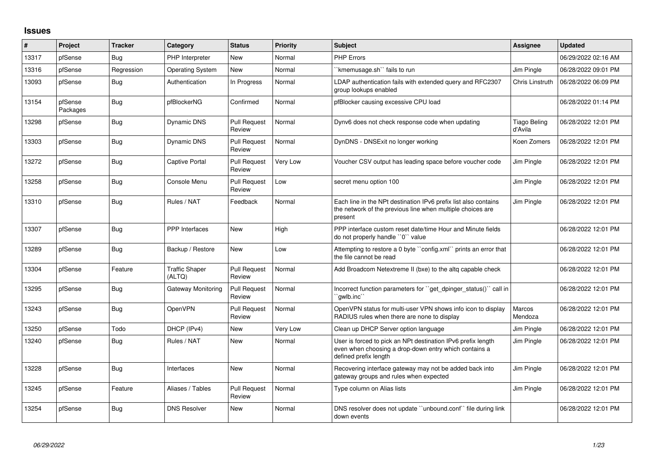## **Issues**

| #     | Project             | <b>Tracker</b> | Category                        | <b>Status</b>                 | <b>Priority</b> | <b>Subject</b>                                                                                                                                 | <b>Assignee</b>         | <b>Updated</b>      |
|-------|---------------------|----------------|---------------------------------|-------------------------------|-----------------|------------------------------------------------------------------------------------------------------------------------------------------------|-------------------------|---------------------|
| 13317 | pfSense             | <b>Bug</b>     | PHP Interpreter                 | New                           | Normal          | <b>PHP Errors</b>                                                                                                                              |                         | 06/29/2022 02:16 AM |
| 13316 | pfSense             | Regression     | <b>Operating System</b>         | New                           | Normal          | 'kmemusage.sh'' fails to run                                                                                                                   | Jim Pingle              | 06/28/2022 09:01 PM |
| 13093 | pfSense             | <b>Bug</b>     | Authentication                  | In Progress                   | Normal          | LDAP authentication fails with extended query and RFC2307<br>group lookups enabled                                                             | Chris Linstruth         | 06/28/2022 06:09 PM |
| 13154 | pfSense<br>Packages | Bug            | pfBlockerNG                     | Confirmed                     | Normal          | pfBlocker causing excessive CPU load                                                                                                           |                         | 06/28/2022 01:14 PM |
| 13298 | pfSense             | <b>Bug</b>     | Dynamic DNS                     | <b>Pull Request</b><br>Review | Normal          | Dynv6 does not check response code when updating                                                                                               | Tiago Beling<br>d'Avila | 06/28/2022 12:01 PM |
| 13303 | pfSense             | Bug            | <b>Dynamic DNS</b>              | <b>Pull Request</b><br>Review | Normal          | DynDNS - DNSExit no longer working                                                                                                             | Koen Zomers             | 06/28/2022 12:01 PM |
| 13272 | pfSense             | <b>Bug</b>     | <b>Captive Portal</b>           | <b>Pull Request</b><br>Review | Very Low        | Voucher CSV output has leading space before voucher code                                                                                       | <b>Jim Pingle</b>       | 06/28/2022 12:01 PM |
| 13258 | pfSense             | Bug            | Console Menu                    | <b>Pull Request</b><br>Review | Low             | secret menu option 100                                                                                                                         | Jim Pingle              | 06/28/2022 12:01 PM |
| 13310 | pfSense             | Bug            | Rules / NAT                     | Feedback                      | Normal          | Each line in the NPt destination IPv6 prefix list also contains<br>the network of the previous line when multiple choices are<br>present       | Jim Pingle              | 06/28/2022 12:01 PM |
| 13307 | pfSense             | <b>Bug</b>     | <b>PPP</b> Interfaces           | New                           | High            | PPP interface custom reset date/time Hour and Minute fields<br>do not properly handle "0" value                                                |                         | 06/28/2022 12:01 PM |
| 13289 | pfSense             | Bug            | Backup / Restore                | New                           | Low             | Attempting to restore a 0 byte "config.xml" prints an error that<br>the file cannot be read                                                    |                         | 06/28/2022 12:01 PM |
| 13304 | pfSense             | Feature        | <b>Traffic Shaper</b><br>(ALTQ) | <b>Pull Request</b><br>Review | Normal          | Add Broadcom Netextreme II (bxe) to the altg capable check                                                                                     |                         | 06/28/2022 12:01 PM |
| 13295 | pfSense             | <b>Bug</b>     | <b>Gateway Monitoring</b>       | <b>Pull Request</b><br>Review | Normal          | Incorrect function parameters for "get_dpinger_status()" call in<br>`gwlb.inc``                                                                |                         | 06/28/2022 12:01 PM |
| 13243 | pfSense             | Bug            | OpenVPN                         | <b>Pull Request</b><br>Review | Normal          | OpenVPN status for multi-user VPN shows info icon to display<br>RADIUS rules when there are none to display                                    | Marcos<br>Mendoza       | 06/28/2022 12:01 PM |
| 13250 | pfSense             | Todo           | DHCP (IPv4)                     | New                           | Very Low        | Clean up DHCP Server option language                                                                                                           | Jim Pingle              | 06/28/2022 12:01 PM |
| 13240 | pfSense             | Bug            | Rules / NAT                     | New                           | Normal          | User is forced to pick an NPt destination IPv6 prefix length<br>even when choosing a drop-down entry which contains a<br>defined prefix length | Jim Pingle              | 06/28/2022 12:01 PM |
| 13228 | pfSense             | Bug            | Interfaces                      | New                           | Normal          | Recovering interface gateway may not be added back into<br>gateway groups and rules when expected                                              | Jim Pingle              | 06/28/2022 12:01 PM |
| 13245 | pfSense             | Feature        | Aliases / Tables                | <b>Pull Request</b><br>Review | Normal          | Type column on Alias lists                                                                                                                     | Jim Pingle              | 06/28/2022 12:01 PM |
| 13254 | pfSense             | Bug            | <b>DNS Resolver</b>             | New                           | Normal          | DNS resolver does not update "unbound.conf" file during link<br>down events                                                                    |                         | 06/28/2022 12:01 PM |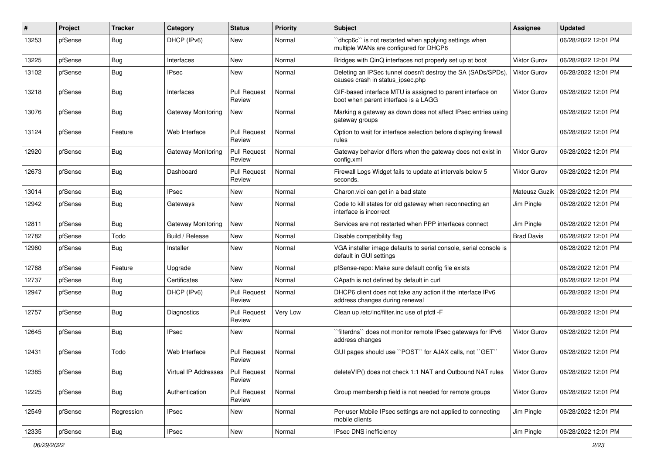| $\#$  | Project | <b>Tracker</b> | Category                  | <b>Status</b>                 | <b>Priority</b> | Subject                                                                                            | <b>Assignee</b>     | <b>Updated</b>      |
|-------|---------|----------------|---------------------------|-------------------------------|-----------------|----------------------------------------------------------------------------------------------------|---------------------|---------------------|
| 13253 | pfSense | <b>Bug</b>     | DHCP (IPv6)               | New                           | Normal          | 'dhcp6c' is not restarted when applying settings when<br>multiple WANs are configured for DHCP6    |                     | 06/28/2022 12:01 PM |
| 13225 | pfSense | <b>Bug</b>     | Interfaces                | New                           | Normal          | Bridges with QinQ interfaces not properly set up at boot                                           | <b>Viktor Gurov</b> | 06/28/2022 12:01 PM |
| 13102 | pfSense | <b>Bug</b>     | <b>IPsec</b>              | New                           | Normal          | Deleting an IPSec tunnel doesn't destroy the SA (SADs/SPDs)<br>causes crash in status_ipsec.php    | Viktor Gurov        | 06/28/2022 12:01 PM |
| 13218 | pfSense | <b>Bug</b>     | Interfaces                | <b>Pull Request</b><br>Review | Normal          | GIF-based interface MTU is assigned to parent interface on<br>boot when parent interface is a LAGG | <b>Viktor Gurov</b> | 06/28/2022 12:01 PM |
| 13076 | pfSense | <b>Bug</b>     | Gateway Monitoring        | <b>New</b>                    | Normal          | Marking a gateway as down does not affect IPsec entries using<br>gateway groups                    |                     | 06/28/2022 12:01 PM |
| 13124 | pfSense | Feature        | Web Interface             | <b>Pull Request</b><br>Review | Normal          | Option to wait for interface selection before displaying firewall<br>rules                         |                     | 06/28/2022 12:01 PM |
| 12920 | pfSense | <b>Bug</b>     | Gateway Monitoring        | <b>Pull Request</b><br>Review | Normal          | Gateway behavior differs when the gateway does not exist in<br>config.xml                          | Viktor Gurov        | 06/28/2022 12:01 PM |
| 12673 | pfSense | Bug            | Dashboard                 | <b>Pull Request</b><br>Review | Normal          | Firewall Logs Widget fails to update at intervals below 5<br>seconds.                              | <b>Viktor Gurov</b> | 06/28/2022 12:01 PM |
| 13014 | pfSense | <b>Bug</b>     | <b>IPsec</b>              | <b>New</b>                    | Normal          | Charon.vici can get in a bad state                                                                 | Mateusz Guzik       | 06/28/2022 12:01 PM |
| 12942 | pfSense | Bug            | Gateways                  | New                           | Normal          | Code to kill states for old gateway when reconnecting an<br>interface is incorrect                 | Jim Pingle          | 06/28/2022 12:01 PM |
| 12811 | pfSense | Bug            | <b>Gateway Monitoring</b> | <b>New</b>                    | Normal          | Services are not restarted when PPP interfaces connect                                             | Jim Pingle          | 06/28/2022 12:01 PM |
| 12782 | pfSense | Todo           | Build / Release           | <b>New</b>                    | Normal          | Disable compatibility flag                                                                         | <b>Brad Davis</b>   | 06/28/2022 12:01 PM |
| 12960 | pfSense | <b>Bug</b>     | Installer                 | New                           | Normal          | VGA installer image defaults to serial console, serial console is<br>default in GUI settings       |                     | 06/28/2022 12:01 PM |
| 12768 | pfSense | Feature        | Upgrade                   | <b>New</b>                    | Normal          | pfSense-repo: Make sure default config file exists                                                 |                     | 06/28/2022 12:01 PM |
| 12737 | pfSense | <b>Bug</b>     | Certificates              | <b>New</b>                    | Normal          | CApath is not defined by default in curl                                                           |                     | 06/28/2022 12:01 PM |
| 12947 | pfSense | <b>Bug</b>     | DHCP (IPv6)               | <b>Pull Request</b><br>Review | Normal          | DHCP6 client does not take any action if the interface IPv6<br>address changes during renewal      |                     | 06/28/2022 12:01 PM |
| 12757 | pfSense | <b>Bug</b>     | Diagnostics               | <b>Pull Request</b><br>Review | Very Low        | Clean up /etc/inc/filter.inc use of pfctl -F                                                       |                     | 06/28/2022 12:01 PM |
| 12645 | pfSense | <b>Bug</b>     | <b>IPsec</b>              | New                           | Normal          | `filterdns`` does not monitor remote IPsec gateways for IPv6<br>address changes                    | <b>Viktor Gurov</b> | 06/28/2022 12:01 PM |
| 12431 | pfSense | Todo           | Web Interface             | <b>Pull Request</b><br>Review | Normal          | GUI pages should use "POST" for AJAX calls, not "GET"                                              | <b>Viktor Gurov</b> | 06/28/2022 12:01 PM |
| 12385 | pfSense | <b>Bug</b>     | Virtual IP Addresses      | <b>Pull Request</b><br>Review | Normal          | deleteVIP() does not check 1:1 NAT and Outbound NAT rules                                          | Viktor Gurov        | 06/28/2022 12:01 PM |
| 12225 | pfSense | <b>Bug</b>     | Authentication            | <b>Pull Request</b><br>Review | Normal          | Group membership field is not needed for remote groups                                             | Viktor Gurov        | 06/28/2022 12:01 PM |
| 12549 | pfSense | Regression     | <b>IPsec</b>              | New                           | Normal          | Per-user Mobile IPsec settings are not applied to connecting<br>mobile clients                     | Jim Pingle          | 06/28/2022 12:01 PM |
| 12335 | pfSense | <b>Bug</b>     | <b>IPsec</b>              | New                           | Normal          | IPsec DNS inefficiency                                                                             | Jim Pingle          | 06/28/2022 12:01 PM |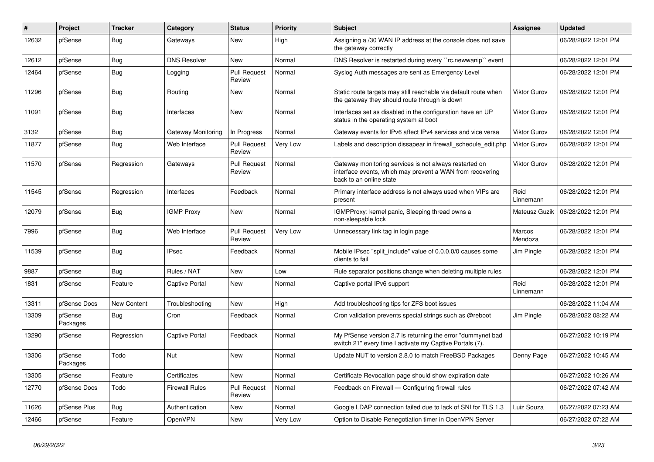| $\#$  | <b>Project</b>      | <b>Tracker</b> | Category              | <b>Status</b>                 | <b>Priority</b> | <b>Subject</b>                                                                                                                                 | <b>Assignee</b>     | <b>Updated</b>      |
|-------|---------------------|----------------|-----------------------|-------------------------------|-----------------|------------------------------------------------------------------------------------------------------------------------------------------------|---------------------|---------------------|
| 12632 | pfSense             | Bug            | Gateways              | New                           | High            | Assigning a /30 WAN IP address at the console does not save<br>the gateway correctly                                                           |                     | 06/28/2022 12:01 PM |
| 12612 | pfSense             | <b>Bug</b>     | <b>DNS Resolver</b>   | <b>New</b>                    | Normal          | DNS Resolver is restarted during every "rc.newwanip" event                                                                                     |                     | 06/28/2022 12:01 PM |
| 12464 | pfSense             | Bug            | Logging               | <b>Pull Request</b><br>Review | Normal          | Syslog Auth messages are sent as Emergency Level                                                                                               |                     | 06/28/2022 12:01 PM |
| 11296 | pfSense             | <b>Bug</b>     | Routing               | New                           | Normal          | Static route targets may still reachable via default route when<br>the gateway they should route through is down                               | Viktor Gurov        | 06/28/2022 12:01 PM |
| 11091 | pfSense             | Bug            | Interfaces            | <b>New</b>                    | Normal          | Interfaces set as disabled in the configuration have an UP<br>status in the operating system at boot                                           | <b>Viktor Gurov</b> | 06/28/2022 12:01 PM |
| 3132  | pfSense             | <b>Bug</b>     | Gateway Monitoring    | In Progress                   | Normal          | Gateway events for IPv6 affect IPv4 services and vice versa                                                                                    | <b>Viktor Gurov</b> | 06/28/2022 12:01 PM |
| 11877 | pfSense             | Bug            | Web Interface         | <b>Pull Request</b><br>Review | Very Low        | Labels and description dissapear in firewall schedule edit.php                                                                                 | <b>Viktor Gurov</b> | 06/28/2022 12:01 PM |
| 11570 | pfSense             | Regression     | Gateways              | <b>Pull Request</b><br>Review | Normal          | Gateway monitoring services is not always restarted on<br>interface events, which may prevent a WAN from recovering<br>back to an online state | Viktor Gurov        | 06/28/2022 12:01 PM |
| 11545 | pfSense             | Regression     | Interfaces            | Feedback                      | Normal          | Primary interface address is not always used when VIPs are<br>present                                                                          | Reid<br>Linnemann   | 06/28/2022 12:01 PM |
| 12079 | pfSense             | <b>Bug</b>     | <b>IGMP Proxy</b>     | New                           | Normal          | IGMPProxy: kernel panic, Sleeping thread owns a<br>non-sleepable lock                                                                          | Mateusz Guzik       | 06/28/2022 12:01 PM |
| 7996  | pfSense             | <b>Bug</b>     | Web Interface         | <b>Pull Request</b><br>Review | Very Low        | Unnecessary link tag in login page                                                                                                             | Marcos<br>Mendoza   | 06/28/2022 12:01 PM |
| 11539 | pfSense             | <b>Bug</b>     | <b>IPsec</b>          | Feedback                      | Normal          | Mobile IPsec "split include" value of 0.0.0.0/0 causes some<br>clients to fail                                                                 | Jim Pingle          | 06/28/2022 12:01 PM |
| 9887  | pfSense             | <b>Bug</b>     | Rules / NAT           | New                           | Low             | Rule separator positions change when deleting multiple rules                                                                                   |                     | 06/28/2022 12:01 PM |
| 1831  | pfSense             | Feature        | Captive Portal        | New                           | Normal          | Captive portal IPv6 support                                                                                                                    | Reid<br>Linnemann   | 06/28/2022 12:01 PM |
| 13311 | pfSense Docs        | New Content    | Troubleshooting       | New                           | High            | Add troubleshooting tips for ZFS boot issues                                                                                                   |                     | 06/28/2022 11:04 AM |
| 13309 | pfSense<br>Packages | <b>Bug</b>     | Cron                  | Feedback                      | Normal          | Cron validation prevents special strings such as @reboot                                                                                       | <b>Jim Pingle</b>   | 06/28/2022 08:22 AM |
| 13290 | pfSense             | Regression     | <b>Captive Portal</b> | Feedback                      | Normal          | My PfSense version 2.7 is returning the error "dummynet bad"<br>switch 21" every time I activate my Captive Portals (7).                       |                     | 06/27/2022 10:19 PM |
| 13306 | pfSense<br>Packages | Todo           | Nut                   | New                           | Normal          | Update NUT to version 2.8.0 to match FreeBSD Packages                                                                                          | Denny Page          | 06/27/2022 10:45 AM |
| 13305 | pfSense             | Feature        | Certificates          | New                           | Normal          | Certificate Revocation page should show expiration date                                                                                        |                     | 06/27/2022 10:26 AM |
| 12770 | pfSense Docs        | Todo           | <b>Firewall Rules</b> | <b>Pull Request</b><br>Review | Normal          | Feedback on Firewall — Configuring firewall rules                                                                                              |                     | 06/27/2022 07:42 AM |
| 11626 | pfSense Plus        | <b>Bug</b>     | Authentication        | <b>New</b>                    | Normal          | Google LDAP connection failed due to lack of SNI for TLS 1.3                                                                                   | Luiz Souza          | 06/27/2022 07:23 AM |
| 12466 | pfSense             | Feature        | OpenVPN               | <b>New</b>                    | Very Low        | Option to Disable Renegotiation timer in OpenVPN Server                                                                                        |                     | 06/27/2022 07:22 AM |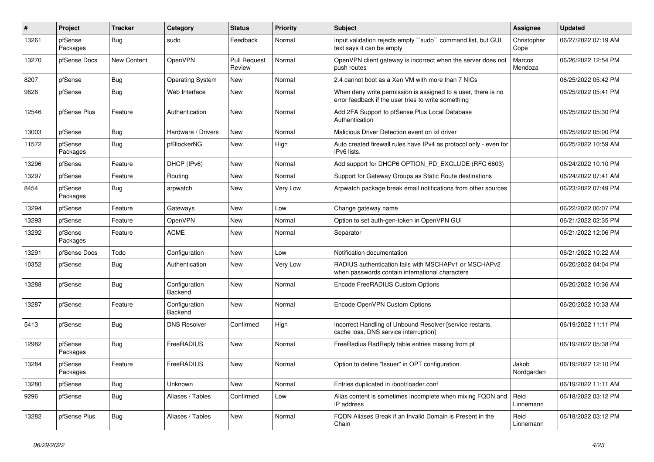| #     | Project             | <b>Tracker</b>     | Category                 | <b>Status</b>                 | <b>Priority</b> | <b>Subject</b>                                                                                                       | <b>Assignee</b>     | <b>Updated</b>      |
|-------|---------------------|--------------------|--------------------------|-------------------------------|-----------------|----------------------------------------------------------------------------------------------------------------------|---------------------|---------------------|
| 13261 | pfSense<br>Packages | Bug                | sudo                     | Feedback                      | Normal          | Input validation rejects empty "sudo" command list, but GUI<br>text says it can be empty                             | Christopher<br>Cope | 06/27/2022 07:19 AM |
| 13270 | pfSense Docs        | <b>New Content</b> | OpenVPN                  | <b>Pull Request</b><br>Review | Normal          | OpenVPN client gateway is incorrect when the server does not<br>push routes                                          | Marcos<br>Mendoza   | 06/26/2022 12:54 PM |
| 8207  | pfSense             | <b>Bug</b>         | <b>Operating System</b>  | New                           | Normal          | 2.4 cannot boot as a Xen VM with more than 7 NICs                                                                    |                     | 06/25/2022 05:42 PM |
| 9626  | pfSense             | Bug                | Web Interface            | New                           | Normal          | When deny write permission is assigned to a user, there is no<br>error feedback if the user tries to write something |                     | 06/25/2022 05:41 PM |
| 12546 | pfSense Plus        | Feature            | Authentication           | <b>New</b>                    | Normal          | Add 2FA Support to pfSense Plus Local Database<br>Authentication                                                     |                     | 06/25/2022 05:30 PM |
| 13003 | pfSense             | Bug                | Hardware / Drivers       | <b>New</b>                    | Normal          | Malicious Driver Detection event on ixl driver                                                                       |                     | 06/25/2022 05:00 PM |
| 11572 | pfSense<br>Packages | Bug                | pfBlockerNG              | New                           | High            | Auto created firewall rules have IPv4 as protocol only - even for<br>IPv6 lists.                                     |                     | 06/25/2022 10:59 AM |
| 13296 | pfSense             | Feature            | DHCP (IPv6)              | New                           | Normal          | Add support for DHCP6 OPTION_PD_EXCLUDE (RFC 6603)                                                                   |                     | 06/24/2022 10:10 PM |
| 13297 | pfSense             | Feature            | Routing                  | New                           | Normal          | Support for Gateway Groups as Static Route destinations                                                              |                     | 06/24/2022 07:41 AM |
| 8454  | pfSense<br>Packages | Bug                | arpwatch                 | New                           | Very Low        | Arpwatch package break email notifications from other sources                                                        |                     | 06/23/2022 07:49 PM |
| 13294 | pfSense             | Feature            | Gateways                 | New                           | Low             | Change gateway name                                                                                                  |                     | 06/22/2022 06:07 PM |
| 13293 | pfSense             | Feature            | OpenVPN                  | New                           | Normal          | Option to set auth-gen-token in OpenVPN GUI                                                                          |                     | 06/21/2022 02:35 PM |
| 13292 | pfSense<br>Packages | Feature            | <b>ACME</b>              | New                           | Normal          | Separator                                                                                                            |                     | 06/21/2022 12:06 PM |
| 13291 | pfSense Docs        | Todo               | Configuration            | New                           | Low             | Notification documentation                                                                                           |                     | 06/21/2022 10:22 AM |
| 10352 | pfSense             | Bug                | Authentication           | New                           | Very Low        | RADIUS authentication fails with MSCHAPv1 or MSCHAPv2<br>when passwords contain international characters             |                     | 06/20/2022 04:04 PM |
| 13288 | pfSense             | Bug                | Configuration<br>Backend | New                           | Normal          | Encode FreeRADIUS Custom Options                                                                                     |                     | 06/20/2022 10:36 AM |
| 13287 | pfSense             | Feature            | Configuration<br>Backend | New                           | Normal          | Encode OpenVPN Custom Options                                                                                        |                     | 06/20/2022 10:33 AM |
| 5413  | pfSense             | Bug                | <b>DNS Resolver</b>      | Confirmed                     | High            | Incorrect Handling of Unbound Resolver [service restarts,<br>cache loss, DNS service interruption]                   |                     | 06/19/2022 11:11 PM |
| 12982 | pfSense<br>Packages | Bug                | FreeRADIUS               | New                           | Normal          | FreeRadius RadReply table entries missing from pf                                                                    |                     | 06/19/2022 05:38 PM |
| 13284 | pfSense<br>Packages | Feature            | FreeRADIUS               | New                           | Normal          | Option to define "Issuer" in OPT configuration.                                                                      | Jakob<br>Nordgarden | 06/19/2022 12:10 PM |
| 13280 | pfSense             | <b>Bug</b>         | Unknown                  | New                           | Normal          | Entries duplicated in /boot/loader.conf                                                                              |                     | 06/19/2022 11:11 AM |
| 9296  | pfSense             | <b>Bug</b>         | Aliases / Tables         | Confirmed                     | Low             | Alias content is sometimes incomplete when mixing FQDN and<br>IP address                                             | Reid<br>Linnemann   | 06/18/2022 03:12 PM |
| 13282 | pfSense Plus        | Bug                | Aliases / Tables         | New                           | Normal          | FQDN Aliases Break if an Invalid Domain is Present in the<br>Chain                                                   | Reid<br>Linnemann   | 06/18/2022 03:12 PM |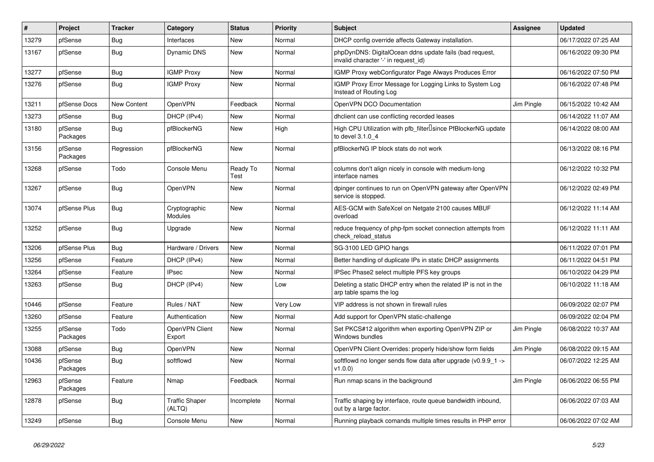| $\sharp$ | Project             | <b>Tracker</b> | Category                        | <b>Status</b>    | <b>Priority</b> | <b>Subject</b>                                                                                  | Assignee          | <b>Updated</b>      |
|----------|---------------------|----------------|---------------------------------|------------------|-----------------|-------------------------------------------------------------------------------------------------|-------------------|---------------------|
| 13279    | pfSense             | Bug            | Interfaces                      | New              | Normal          | DHCP config override affects Gateway installation.                                              |                   | 06/17/2022 07:25 AM |
| 13167    | pfSense             | <b>Bug</b>     | Dynamic DNS                     | <b>New</b>       | Normal          | phpDynDNS: DigitalOcean ddns update fails (bad request,<br>invalid character '-' in request id) |                   | 06/16/2022 09:30 PM |
| 13277    | pfSense             | Bug            | <b>IGMP Proxy</b>               | New              | Normal          | <b>IGMP Proxy webConfigurator Page Always Produces Error</b>                                    |                   | 06/16/2022 07:50 PM |
| 13276    | pfSense             | Bug            | <b>IGMP Proxy</b>               | <b>New</b>       | Normal          | IGMP Proxy Error Message for Logging Links to System Log<br>Instead of Routing Log              |                   | 06/16/2022 07:48 PM |
| 13211    | pfSense Docs        | New Content    | OpenVPN                         | Feedback         | Normal          | OpenVPN DCO Documentation                                                                       | Jim Pingle        | 06/15/2022 10:42 AM |
| 13273    | pfSense             | <b>Bug</b>     | DHCP (IPv4)                     | New              | Normal          | dhclient can use conflicting recorded leases                                                    |                   | 06/14/2022 11:07 AM |
| 13180    | pfSense<br>Packages | <b>Bug</b>     | pfBlockerNG                     | New              | High            | High CPU Utilization with pfb_filter <sup>[]</sup> since PfBlockerNG update<br>to devel 3.1.0 4 |                   | 06/14/2022 08:00 AM |
| 13156    | pfSense<br>Packages | Regression     | pfBlockerNG                     | <b>New</b>       | Normal          | pfBlockerNG IP block stats do not work                                                          |                   | 06/13/2022 08:16 PM |
| 13268    | pfSense             | Todo           | Console Menu                    | Ready To<br>Test | Normal          | columns don't align nicely in console with medium-long<br>interface names                       |                   | 06/12/2022 10:32 PM |
| 13267    | pfSense             | <b>Bug</b>     | OpenVPN                         | New              | Normal          | dpinger continues to run on OpenVPN gateway after OpenVPN<br>service is stopped.                |                   | 06/12/2022 02:49 PM |
| 13074    | pfSense Plus        | <b>Bug</b>     | Cryptographic<br>Modules        | <b>New</b>       | Normal          | AES-GCM with SafeXcel on Netgate 2100 causes MBUF<br>overload                                   |                   | 06/12/2022 11:14 AM |
| 13252    | pfSense             | Bug            | Upgrade                         | New              | Normal          | reduce frequency of php-fpm socket connection attempts from<br>check reload status              |                   | 06/12/2022 11:11 AM |
| 13206    | pfSense Plus        | Bug            | Hardware / Drivers              | New              | Normal          | SG-3100 LED GPIO hangs                                                                          |                   | 06/11/2022 07:01 PM |
| 13256    | pfSense             | Feature        | DHCP (IPv4)                     | New              | Normal          | Better handling of duplicate IPs in static DHCP assignments                                     |                   | 06/11/2022 04:51 PM |
| 13264    | pfSense             | Feature        | <b>IPsec</b>                    | <b>New</b>       | Normal          | IPSec Phase2 select multiple PFS key groups                                                     |                   | 06/10/2022 04:29 PM |
| 13263    | pfSense             | <b>Bug</b>     | DHCP (IPv4)                     | New              | Low             | Deleting a static DHCP entry when the related IP is not in the<br>arp table spams the log       |                   | 06/10/2022 11:18 AM |
| 10446    | pfSense             | Feature        | Rules / NAT                     | <b>New</b>       | Very Low        | VIP address is not shown in firewall rules                                                      |                   | 06/09/2022 02:07 PM |
| 13260    | pfSense             | Feature        | Authentication                  | New              | Normal          | Add support for OpenVPN static-challenge                                                        |                   | 06/09/2022 02:04 PM |
| 13255    | pfSense<br>Packages | Todo           | OpenVPN Client<br>Export        | <b>New</b>       | Normal          | Set PKCS#12 algorithm when exporting OpenVPN ZIP or<br>Windows bundles                          | <b>Jim Pingle</b> | 06/08/2022 10:37 AM |
| 13088    | pfSense             | Bug            | OpenVPN                         | New              | Normal          | OpenVPN Client Overrides: properly hide/show form fields                                        | Jim Pingle        | 06/08/2022 09:15 AM |
| 10436    | pfSense<br>Packages | <b>Bug</b>     | softflowd                       | New              | Normal          | softflowd no longer sends flow data after upgrade ( $v0.9.9$ 1 -><br>v1.0.0                     |                   | 06/07/2022 12:25 AM |
| 12963    | pfSense<br>Packages | Feature        | Nmap                            | Feedback         | Normal          | Run nmap scans in the background                                                                | Jim Pingle        | 06/06/2022 06:55 PM |
| 12878    | pfSense             | Bug            | <b>Traffic Shaper</b><br>(ALTQ) | Incomplete       | Normal          | Traffic shaping by interface, route queue bandwidth inbound,<br>out by a large factor.          |                   | 06/06/2022 07:03 AM |
| 13249    | pfSense             | <b>Bug</b>     | Console Menu                    | <b>New</b>       | Normal          | Running playback comands multiple times results in PHP error                                    |                   | 06/06/2022 07:02 AM |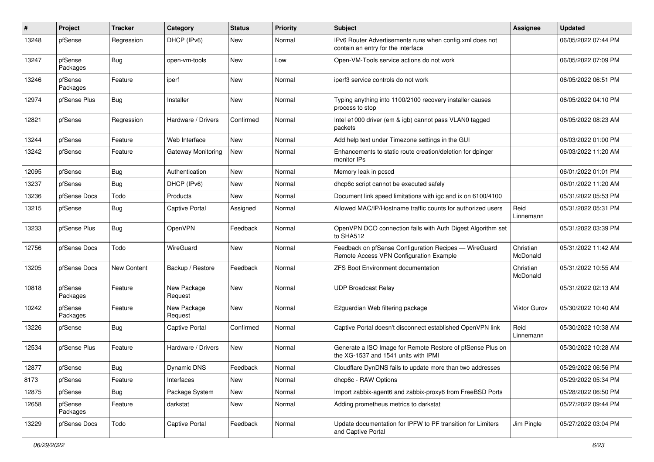| #     | Project             | <b>Tracker</b> | Category               | <b>Status</b> | <b>Priority</b> | Subject                                                                                            | <b>Assignee</b>       | <b>Updated</b>      |
|-------|---------------------|----------------|------------------------|---------------|-----------------|----------------------------------------------------------------------------------------------------|-----------------------|---------------------|
| 13248 | pfSense             | Regression     | DHCP (IPv6)            | New           | Normal          | IPv6 Router Advertisements runs when config.xml does not<br>contain an entry for the interface     |                       | 06/05/2022 07:44 PM |
| 13247 | pfSense<br>Packages | <b>Bug</b>     | open-vm-tools          | New           | Low             | Open-VM-Tools service actions do not work                                                          |                       | 06/05/2022 07:09 PM |
| 13246 | pfSense<br>Packages | Feature        | iperf                  | New           | Normal          | iperf3 service controls do not work                                                                |                       | 06/05/2022 06:51 PM |
| 12974 | pfSense Plus        | Bug            | Installer              | New           | Normal          | Typing anything into 1100/2100 recovery installer causes<br>process to stop                        |                       | 06/05/2022 04:10 PM |
| 12821 | pfSense             | Regression     | Hardware / Drivers     | Confirmed     | Normal          | Intel e1000 driver (em & igb) cannot pass VLAN0 tagged<br>packets                                  |                       | 06/05/2022 08:23 AM |
| 13244 | pfSense             | Feature        | Web Interface          | New           | Normal          | Add help text under Timezone settings in the GUI                                                   |                       | 06/03/2022 01:00 PM |
| 13242 | pfSense             | Feature        | Gateway Monitoring     | New           | Normal          | Enhancements to static route creation/deletion for dpinger<br>monitor IPs                          |                       | 06/03/2022 11:20 AM |
| 12095 | pfSense             | Bug            | Authentication         | New           | Normal          | Memory leak in pcscd                                                                               |                       | 06/01/2022 01:01 PM |
| 13237 | pfSense             | Bug            | DHCP (IPv6)            | New           | Normal          | dhcp6c script cannot be executed safely                                                            |                       | 06/01/2022 11:20 AM |
| 13236 | pfSense Docs        | Todo           | Products               | <b>New</b>    | Normal          | Document link speed limitations with igc and ix on 6100/4100                                       |                       | 05/31/2022 05:53 PM |
| 13215 | pfSense             | Bug            | Captive Portal         | Assigned      | Normal          | Allowed MAC/IP/Hostname traffic counts for authorized users                                        | Reid<br>Linnemann     | 05/31/2022 05:31 PM |
| 13233 | pfSense Plus        | Bug            | OpenVPN                | Feedback      | Normal          | OpenVPN DCO connection fails with Auth Digest Algorithm set<br>to SHA512                           |                       | 05/31/2022 03:39 PM |
| 12756 | pfSense Docs        | Todo           | WireGuard              | New           | Normal          | Feedback on pfSense Configuration Recipes - WireGuard<br>Remote Access VPN Configuration Example   | Christian<br>McDonald | 05/31/2022 11:42 AM |
| 13205 | pfSense Docs        | New Content    | Backup / Restore       | Feedback      | Normal          | <b>ZFS Boot Environment documentation</b>                                                          | Christian<br>McDonald | 05/31/2022 10:55 AM |
| 10818 | pfSense<br>Packages | Feature        | New Package<br>Request | New           | Normal          | <b>UDP Broadcast Relay</b>                                                                         |                       | 05/31/2022 02:13 AM |
| 10242 | pfSense<br>Packages | Feature        | New Package<br>Request | New           | Normal          | E2guardian Web filtering package                                                                   | Viktor Gurov          | 05/30/2022 10:40 AM |
| 13226 | pfSense             | Bug            | <b>Captive Portal</b>  | Confirmed     | Normal          | Captive Portal doesn't disconnect established OpenVPN link                                         | Reid<br>Linnemann     | 05/30/2022 10:38 AM |
| 12534 | pfSense Plus        | Feature        | Hardware / Drivers     | New           | Normal          | Generate a ISO Image for Remote Restore of pfSense Plus on<br>the XG-1537 and 1541 units with IPMI |                       | 05/30/2022 10:28 AM |
| 12877 | pfSense             | Bug            | Dynamic DNS            | Feedback      | Normal          | Cloudflare DynDNS fails to update more than two addresses                                          |                       | 05/29/2022 06:56 PM |
| 8173  | pfSense             | Feature        | Interfaces             | New           | Normal          | dhcp6c - RAW Options                                                                               |                       | 05/29/2022 05:34 PM |
| 12875 | pfSense             | <b>Bug</b>     | Package System         | New           | Normal          | Import zabbix-agent6 and zabbix-proxy6 from FreeBSD Ports                                          |                       | 05/28/2022 06:50 PM |
| 12658 | pfSense<br>Packages | Feature        | darkstat               | New           | Normal          | Adding prometheus metrics to darkstat                                                              |                       | 05/27/2022 09:44 PM |
| 13229 | pfSense Docs        | Todo           | Captive Portal         | Feedback      | Normal          | Update documentation for IPFW to PF transition for Limiters<br>and Captive Portal                  | Jim Pingle            | 05/27/2022 03:04 PM |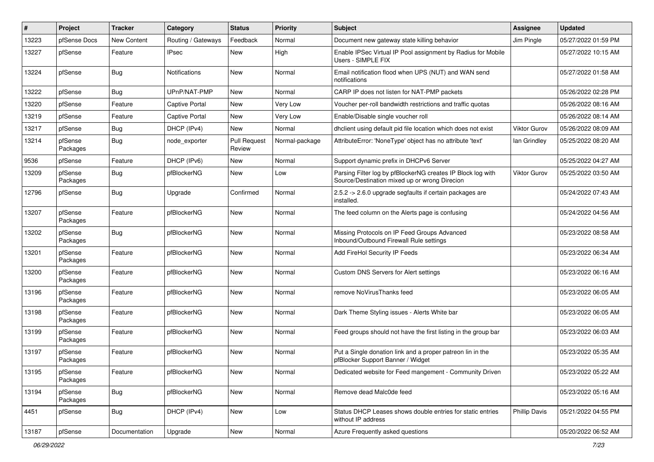| #     | Project             | <b>Tracker</b> | Category              | <b>Status</b>                 | Priority       | Subject                                                                                                      | <b>Assignee</b>      | <b>Updated</b>      |
|-------|---------------------|----------------|-----------------------|-------------------------------|----------------|--------------------------------------------------------------------------------------------------------------|----------------------|---------------------|
| 13223 | pfSense Docs        | New Content    | Routing / Gateways    | Feedback                      | Normal         | Document new gateway state killing behavior                                                                  | Jim Pingle           | 05/27/2022 01:59 PM |
| 13227 | pfSense             | Feature        | <b>IPsec</b>          | New                           | High           | Enable IPSec Virtual IP Pool assignment by Radius for Mobile<br>Users - SIMPLE FIX                           |                      | 05/27/2022 10:15 AM |
| 13224 | pfSense             | <b>Bug</b>     | Notifications         | New                           | Normal         | Email notification flood when UPS (NUT) and WAN send<br>notifications                                        |                      | 05/27/2022 01:58 AM |
| 13222 | pfSense             | <b>Bug</b>     | UPnP/NAT-PMP          | New                           | Normal         | CARP IP does not listen for NAT-PMP packets                                                                  |                      | 05/26/2022 02:28 PM |
| 13220 | pfSense             | Feature        | <b>Captive Portal</b> | New                           | Very Low       | Voucher per-roll bandwidth restrictions and traffic quotas                                                   |                      | 05/26/2022 08:16 AM |
| 13219 | pfSense             | Feature        | <b>Captive Portal</b> | New                           | Very Low       | Enable/Disable single voucher roll                                                                           |                      | 05/26/2022 08:14 AM |
| 13217 | pfSense             | <b>Bug</b>     | DHCP (IPv4)           | <b>New</b>                    | Normal         | dhclient using default pid file location which does not exist                                                | <b>Viktor Gurov</b>  | 05/26/2022 08:09 AM |
| 13214 | pfSense<br>Packages | <b>Bug</b>     | node exporter         | <b>Pull Request</b><br>Review | Normal-package | AttributeError: 'NoneType' object has no attribute 'text'                                                    | lan Grindley         | 05/25/2022 08:20 AM |
| 9536  | pfSense             | Feature        | DHCP (IPv6)           | New                           | Normal         | Support dynamic prefix in DHCPv6 Server                                                                      |                      | 05/25/2022 04:27 AM |
| 13209 | pfSense<br>Packages | Bug            | pfBlockerNG           | <b>New</b>                    | Low            | Parsing Filter log by pfBlockerNG creates IP Block log with<br>Source/Destination mixed up or wrong Direcion | <b>Viktor Gurov</b>  | 05/25/2022 03:50 AM |
| 12796 | pfSense             | <b>Bug</b>     | Upgrade               | Confirmed                     | Normal         | 2.5.2 -> 2.6.0 upgrade segfaults if certain packages are<br>installed.                                       |                      | 05/24/2022 07:43 AM |
| 13207 | pfSense<br>Packages | Feature        | pfBlockerNG           | New                           | Normal         | The feed column on the Alerts page is confusing                                                              |                      | 05/24/2022 04:56 AM |
| 13202 | pfSense<br>Packages | <b>Bug</b>     | pfBlockerNG           | New                           | Normal         | Missing Protocols on IP Feed Groups Advanced<br>Inbound/Outbound Firewall Rule settings                      |                      | 05/23/2022 08:58 AM |
| 13201 | pfSense<br>Packages | Feature        | pfBlockerNG           | New                           | Normal         | Add FireHol Security IP Feeds                                                                                |                      | 05/23/2022 06:34 AM |
| 13200 | pfSense<br>Packages | Feature        | pfBlockerNG           | New                           | Normal         | Custom DNS Servers for Alert settings                                                                        |                      | 05/23/2022 06:16 AM |
| 13196 | pfSense<br>Packages | Feature        | pfBlockerNG           | New                           | Normal         | remove NoVirusThanks feed                                                                                    |                      | 05/23/2022 06:05 AM |
| 13198 | pfSense<br>Packages | Feature        | pfBlockerNG           | <b>New</b>                    | Normal         | Dark Theme Styling issues - Alerts White bar                                                                 |                      | 05/23/2022 06:05 AM |
| 13199 | pfSense<br>Packages | Feature        | pfBlockerNG           | New                           | Normal         | Feed groups should not have the first listing in the group bar                                               |                      | 05/23/2022 06:03 AM |
| 13197 | pfSense<br>Packages | Feature        | pfBlockerNG           | New                           | Normal         | Put a Single donation link and a proper patreon lin in the<br>pfBlocker Support Banner / Widget              |                      | 05/23/2022 05:35 AM |
| 13195 | pfSense<br>Packages | Feature        | pfBlockerNG           | New                           | Normal         | Dedicated website for Feed mangement - Community Driven                                                      |                      | 05/23/2022 05:22 AM |
| 13194 | pfSense<br>Packages | Bug            | pfBlockerNG           | New                           | Normal         | Remove dead Malc0de feed                                                                                     |                      | 05/23/2022 05:16 AM |
| 4451  | pfSense             | Bug            | DHCP (IPv4)           | New                           | Low            | Status DHCP Leases shows double entries for static entries<br>without IP address                             | <b>Phillip Davis</b> | 05/21/2022 04:55 PM |
| 13187 | pfSense             | Documentation  | Upgrade               | New                           | Normal         | Azure Frequently asked questions                                                                             |                      | 05/20/2022 06:52 AM |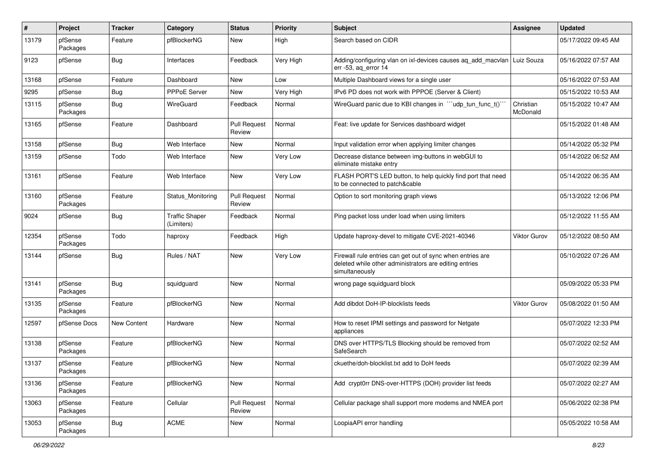| #     | Project             | <b>Tracker</b> | Category                            | <b>Status</b>                 | <b>Priority</b> | Subject                                                                                                                                | <b>Assignee</b>       | <b>Updated</b>      |
|-------|---------------------|----------------|-------------------------------------|-------------------------------|-----------------|----------------------------------------------------------------------------------------------------------------------------------------|-----------------------|---------------------|
| 13179 | pfSense<br>Packages | Feature        | pfBlockerNG                         | New                           | High            | Search based on CIDR                                                                                                                   |                       | 05/17/2022 09:45 AM |
| 9123  | pfSense             | Bug            | Interfaces                          | Feedback                      | Very High       | Adding/configuring vlan on ixl-devices causes ag add macvlan<br>err -53, ag error 14                                                   | Luiz Souza            | 05/16/2022 07:57 AM |
| 13168 | pfSense             | Feature        | Dashboard                           | New                           | Low             | Multiple Dashboard views for a single user                                                                                             |                       | 05/16/2022 07:53 AM |
| 9295  | pfSense             | <b>Bug</b>     | PPPoE Server                        | New                           | Very High       | IPv6 PD does not work with PPPOE (Server & Client)                                                                                     |                       | 05/15/2022 10:53 AM |
| 13115 | pfSense<br>Packages | Bug            | WireGuard                           | Feedback                      | Normal          | WireGuard panic due to KBI changes in ""udp_tun_func_t()"                                                                              | Christian<br>McDonald | 05/15/2022 10:47 AM |
| 13165 | pfSense             | Feature        | Dashboard                           | <b>Pull Request</b><br>Review | Normal          | Feat: live update for Services dashboard widget                                                                                        |                       | 05/15/2022 01:48 AM |
| 13158 | pfSense             | <b>Bug</b>     | Web Interface                       | New                           | Normal          | Input validation error when applying limiter changes                                                                                   |                       | 05/14/2022 05:32 PM |
| 13159 | pfSense             | Todo           | Web Interface                       | New                           | Very Low        | Decrease distance between img-buttons in webGUI to<br>eliminate mistake entry                                                          |                       | 05/14/2022 06:52 AM |
| 13161 | pfSense             | Feature        | Web Interface                       | New                           | Very Low        | FLASH PORT'S LED button, to help quickly find port that need<br>to be connected to patch&cable                                         |                       | 05/14/2022 06:35 AM |
| 13160 | pfSense<br>Packages | Feature        | Status Monitoring                   | <b>Pull Request</b><br>Review | Normal          | Option to sort monitoring graph views                                                                                                  |                       | 05/13/2022 12:06 PM |
| 9024  | pfSense             | <b>Bug</b>     | <b>Traffic Shaper</b><br>(Limiters) | Feedback                      | Normal          | Ping packet loss under load when using limiters                                                                                        |                       | 05/12/2022 11:55 AM |
| 12354 | pfSense<br>Packages | Todo           | haproxy                             | Feedback                      | High            | Update haproxy-devel to mitigate CVE-2021-40346                                                                                        | Viktor Gurov          | 05/12/2022 08:50 AM |
| 13144 | pfSense             | <b>Bug</b>     | Rules / NAT                         | New                           | Very Low        | Firewall rule entries can get out of sync when entries are<br>deleted while other administrators are editing entries<br>simultaneously |                       | 05/10/2022 07:26 AM |
| 13141 | pfSense<br>Packages | <b>Bug</b>     | squidguard                          | New                           | Normal          | wrong page squidguard block                                                                                                            |                       | 05/09/2022 05:33 PM |
| 13135 | pfSense<br>Packages | Feature        | pfBlockerNG                         | New                           | Normal          | Add dibdot DoH-IP-blocklists feeds                                                                                                     | <b>Viktor Gurov</b>   | 05/08/2022 01:50 AM |
| 12597 | pfSense Docs        | New Content    | Hardware                            | New                           | Normal          | How to reset IPMI settings and password for Netgate<br>appliances                                                                      |                       | 05/07/2022 12:33 PM |
| 13138 | pfSense<br>Packages | Feature        | pfBlockerNG                         | New                           | Normal          | DNS over HTTPS/TLS Blocking should be removed from<br>SafeSearch                                                                       |                       | 05/07/2022 02:52 AM |
| 13137 | pfSense<br>Packages | Feature        | pfBlockerNG                         | New                           | Normal          | ckuethe/doh-blocklist.txt add to DoH feeds                                                                                             |                       | 05/07/2022 02:39 AM |
| 13136 | pfSense<br>Packages | Feature        | pfBlockerNG                         | New                           | Normal          | Add crypt0rr DNS-over-HTTPS (DOH) provider list feeds                                                                                  |                       | 05/07/2022 02:27 AM |
| 13063 | pfSense<br>Packages | Feature        | Cellular                            | <b>Pull Request</b><br>Review | Normal          | Cellular package shall support more modems and NMEA port                                                                               |                       | 05/06/2022 02:38 PM |
| 13053 | pfSense<br>Packages | <b>Bug</b>     | ACME                                | New                           | Normal          | LoopiaAPI error handling                                                                                                               |                       | 05/05/2022 10:58 AM |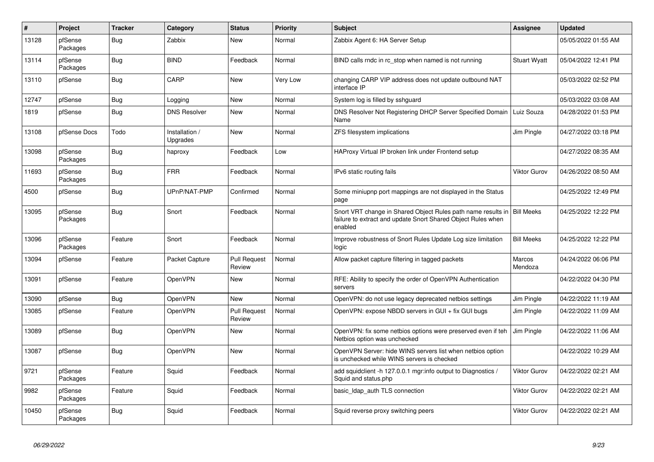| #     | Project             | <b>Tracker</b> | Category                   | <b>Status</b>                 | <b>Priority</b> | <b>Subject</b>                                                                                                                          | <b>Assignee</b>     | <b>Updated</b>      |
|-------|---------------------|----------------|----------------------------|-------------------------------|-----------------|-----------------------------------------------------------------------------------------------------------------------------------------|---------------------|---------------------|
| 13128 | pfSense<br>Packages | Bug            | Zabbix                     | New                           | Normal          | Zabbix Agent 6: HA Server Setup                                                                                                         |                     | 05/05/2022 01:55 AM |
| 13114 | pfSense<br>Packages | <b>Bug</b>     | <b>BIND</b>                | Feedback                      | Normal          | BIND calls rndc in rc stop when named is not running                                                                                    | <b>Stuart Wyatt</b> | 05/04/2022 12:41 PM |
| 13110 | pfSense             | <b>Bug</b>     | CARP                       | <b>New</b>                    | Very Low        | changing CARP VIP address does not update outbound NAT<br>interface IP                                                                  |                     | 05/03/2022 02:52 PM |
| 12747 | pfSense             | Bug            | Logging                    | <b>New</b>                    | Normal          | System log is filled by sshguard                                                                                                        |                     | 05/03/2022 03:08 AM |
| 1819  | pfSense             | <b>Bug</b>     | <b>DNS Resolver</b>        | <b>New</b>                    | Normal          | DNS Resolver Not Registering DHCP Server Specified Domain<br>Name                                                                       | Luiz Souza          | 04/28/2022 01:53 PM |
| 13108 | pfSense Docs        | Todo           | Installation /<br>Upgrades | <b>New</b>                    | Normal          | ZFS filesystem implications                                                                                                             | Jim Pingle          | 04/27/2022 03:18 PM |
| 13098 | pfSense<br>Packages | <b>Bug</b>     | haproxy                    | Feedback                      | Low             | HAProxy Virtual IP broken link under Frontend setup                                                                                     |                     | 04/27/2022 08:35 AM |
| 11693 | pfSense<br>Packages | Bug            | <b>FRR</b>                 | Feedback                      | Normal          | IPv6 static routing fails                                                                                                               | Viktor Gurov        | 04/26/2022 08:50 AM |
| 4500  | pfSense             | <b>Bug</b>     | UPnP/NAT-PMP               | Confirmed                     | Normal          | Some miniupnp port mappings are not displayed in the Status<br>page                                                                     |                     | 04/25/2022 12:49 PM |
| 13095 | pfSense<br>Packages | <b>Bug</b>     | Snort                      | Feedback                      | Normal          | Snort VRT change in Shared Object Rules path name results in<br>failure to extract and update Snort Shared Object Rules when<br>enabled | <b>Bill Meeks</b>   | 04/25/2022 12:22 PM |
| 13096 | pfSense<br>Packages | Feature        | Snort                      | Feedback                      | Normal          | Improve robustness of Snort Rules Update Log size limitation<br>logic                                                                   | <b>Bill Meeks</b>   | 04/25/2022 12:22 PM |
| 13094 | pfSense             | Feature        | Packet Capture             | <b>Pull Request</b><br>Review | Normal          | Allow packet capture filtering in tagged packets                                                                                        | Marcos<br>Mendoza   | 04/24/2022 06:06 PM |
| 13091 | pfSense             | Feature        | <b>OpenVPN</b>             | New                           | Normal          | RFE: Ability to specify the order of OpenVPN Authentication<br>servers                                                                  |                     | 04/22/2022 04:30 PM |
| 13090 | pfSense             | Bug            | <b>OpenVPN</b>             | <b>New</b>                    | Normal          | OpenVPN: do not use legacy deprecated netbios settings                                                                                  | Jim Pingle          | 04/22/2022 11:19 AM |
| 13085 | pfSense             | Feature        | <b>OpenVPN</b>             | <b>Pull Request</b><br>Review | Normal          | OpenVPN: expose NBDD servers in GUI + fix GUI bugs                                                                                      | Jim Pingle          | 04/22/2022 11:09 AM |
| 13089 | pfSense             | Bug            | <b>OpenVPN</b>             | New                           | Normal          | OpenVPN: fix some netbios options were preserved even if teh<br>Netbios option was unchecked                                            | Jim Pingle          | 04/22/2022 11:06 AM |
| 13087 | pfSense             | <b>Bug</b>     | OpenVPN                    | <b>New</b>                    | Normal          | OpenVPN Server: hide WINS servers list when netbios option<br>is unchecked while WINS servers is checked                                |                     | 04/22/2022 10:29 AM |
| 9721  | pfSense<br>Packages | Feature        | Squid                      | Feedback                      | Normal          | add squidclient -h 127.0.0.1 mgr:info output to Diagnostics /<br>Squid and status.php                                                   | Viktor Gurov        | 04/22/2022 02:21 AM |
| 9982  | pfSense<br>Packages | Feature        | Squid                      | Feedback                      | Normal          | basic_Idap_auth TLS connection                                                                                                          | Viktor Gurov        | 04/22/2022 02:21 AM |
| 10450 | pfSense<br>Packages | Bug            | Squid                      | Feedback                      | Normal          | Squid reverse proxy switching peers                                                                                                     | Viktor Gurov        | 04/22/2022 02:21 AM |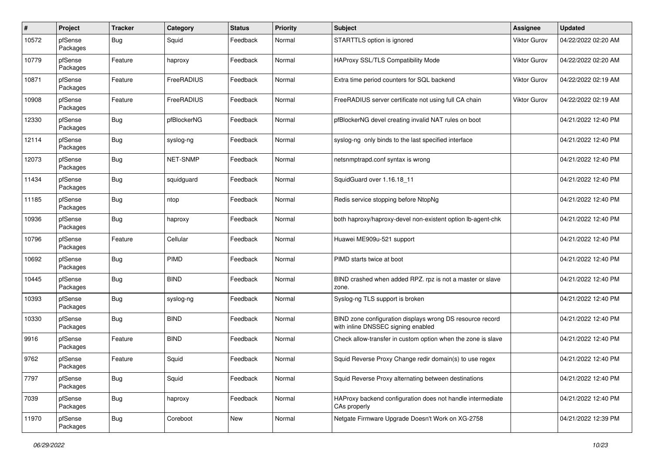| #     | Project             | <b>Tracker</b> | Category    | <b>Status</b> | <b>Priority</b> | Subject                                                                                         | Assignee            | <b>Updated</b>      |
|-------|---------------------|----------------|-------------|---------------|-----------------|-------------------------------------------------------------------------------------------------|---------------------|---------------------|
| 10572 | pfSense<br>Packages | <b>Bug</b>     | Squid       | Feedback      | Normal          | STARTTLS option is ignored                                                                      | Viktor Gurov        | 04/22/2022 02:20 AM |
| 10779 | pfSense<br>Packages | Feature        | haproxy     | Feedback      | Normal          | HAProxy SSL/TLS Compatibility Mode                                                              | <b>Viktor Gurov</b> | 04/22/2022 02:20 AM |
| 10871 | pfSense<br>Packages | Feature        | FreeRADIUS  | Feedback      | Normal          | Extra time period counters for SQL backend                                                      | <b>Viktor Gurov</b> | 04/22/2022 02:19 AM |
| 10908 | pfSense<br>Packages | Feature        | FreeRADIUS  | Feedback      | Normal          | FreeRADIUS server certificate not using full CA chain                                           | <b>Viktor Gurov</b> | 04/22/2022 02:19 AM |
| 12330 | pfSense<br>Packages | <b>Bug</b>     | pfBlockerNG | Feedback      | Normal          | pfBlockerNG devel creating invalid NAT rules on boot                                            |                     | 04/21/2022 12:40 PM |
| 12114 | pfSense<br>Packages | <b>Bug</b>     | syslog-ng   | Feedback      | Normal          | syslog-ng only binds to the last specified interface                                            |                     | 04/21/2022 12:40 PM |
| 12073 | pfSense<br>Packages | <b>Bug</b>     | NET-SNMP    | Feedback      | Normal          | netsnmptrapd.conf syntax is wrong                                                               |                     | 04/21/2022 12:40 PM |
| 11434 | pfSense<br>Packages | <b>Bug</b>     | squidguard  | Feedback      | Normal          | SquidGuard over 1.16.18 11                                                                      |                     | 04/21/2022 12:40 PM |
| 11185 | pfSense<br>Packages | Bug            | ntop        | Feedback      | Normal          | Redis service stopping before NtopNg                                                            |                     | 04/21/2022 12:40 PM |
| 10936 | pfSense<br>Packages | <b>Bug</b>     | haproxy     | Feedback      | Normal          | both haproxy/haproxy-devel non-existent option lb-agent-chk                                     |                     | 04/21/2022 12:40 PM |
| 10796 | pfSense<br>Packages | Feature        | Cellular    | Feedback      | Normal          | Huawei ME909u-521 support                                                                       |                     | 04/21/2022 12:40 PM |
| 10692 | pfSense<br>Packages | <b>Bug</b>     | <b>PIMD</b> | Feedback      | Normal          | PIMD starts twice at boot                                                                       |                     | 04/21/2022 12:40 PM |
| 10445 | pfSense<br>Packages | <b>Bug</b>     | <b>BIND</b> | Feedback      | Normal          | BIND crashed when added RPZ. rpz is not a master or slave<br>zone.                              |                     | 04/21/2022 12:40 PM |
| 10393 | pfSense<br>Packages | <b>Bug</b>     | syslog-ng   | Feedback      | Normal          | Syslog-ng TLS support is broken                                                                 |                     | 04/21/2022 12:40 PM |
| 10330 | pfSense<br>Packages | <b>Bug</b>     | <b>BIND</b> | Feedback      | Normal          | BIND zone configuration displays wrong DS resource record<br>with inline DNSSEC signing enabled |                     | 04/21/2022 12:40 PM |
| 9916  | pfSense<br>Packages | Feature        | <b>BIND</b> | Feedback      | Normal          | Check allow-transfer in custom option when the zone is slave                                    |                     | 04/21/2022 12:40 PM |
| 9762  | pfSense<br>Packages | Feature        | Squid       | Feedback      | Normal          | Squid Reverse Proxy Change redir domain(s) to use regex                                         |                     | 04/21/2022 12:40 PM |
| 7797  | pfSense<br>Packages | <b>Bug</b>     | Squid       | Feedback      | Normal          | Squid Reverse Proxy alternating between destinations                                            |                     | 04/21/2022 12:40 PM |
| 7039  | pfSense<br>Packages | <b>Bug</b>     | haproxy     | Feedback      | Normal          | HAProxy backend configuration does not handle intermediate<br>CAs properly                      |                     | 04/21/2022 12:40 PM |
| 11970 | pfSense<br>Packages | <b>Bug</b>     | Coreboot    | New           | Normal          | Netgate Firmware Upgrade Doesn't Work on XG-2758                                                |                     | 04/21/2022 12:39 PM |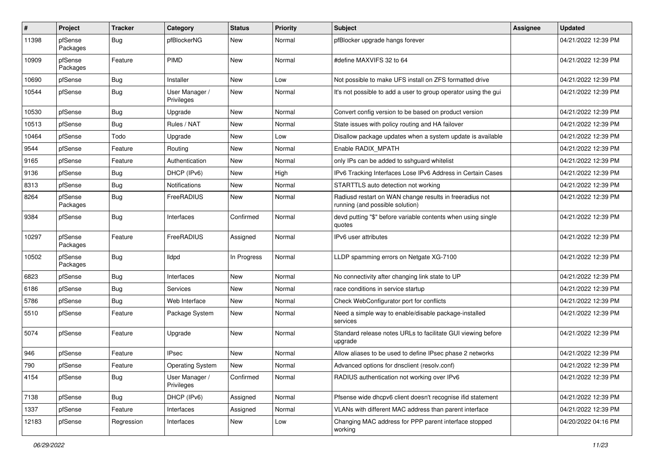| #     | Project             | <b>Tracker</b> | Category                     | <b>Status</b> | <b>Priority</b> | <b>Subject</b>                                                                             | <b>Assignee</b> | <b>Updated</b>      |
|-------|---------------------|----------------|------------------------------|---------------|-----------------|--------------------------------------------------------------------------------------------|-----------------|---------------------|
| 11398 | pfSense<br>Packages | <b>Bug</b>     | pfBlockerNG                  | New           | Normal          | pfBlocker upgrade hangs forever                                                            |                 | 04/21/2022 12:39 PM |
| 10909 | pfSense<br>Packages | Feature        | <b>PIMD</b>                  | New           | Normal          | #define MAXVIFS 32 to 64                                                                   |                 | 04/21/2022 12:39 PM |
| 10690 | pfSense             | <b>Bug</b>     | Installer                    | New           | Low             | Not possible to make UFS install on ZFS formatted drive                                    |                 | 04/21/2022 12:39 PM |
| 10544 | pfSense             | Bug            | User Manager /<br>Privileges | New           | Normal          | It's not possible to add a user to group operator using the gui                            |                 | 04/21/2022 12:39 PM |
| 10530 | pfSense             | <b>Bug</b>     | Upgrade                      | New           | Normal          | Convert config version to be based on product version                                      |                 | 04/21/2022 12:39 PM |
| 10513 | pfSense             | <b>Bug</b>     | Rules / NAT                  | New           | Normal          | State issues with policy routing and HA failover                                           |                 | 04/21/2022 12:39 PM |
| 10464 | pfSense             | Todo           | Upgrade                      | New           | Low             | Disallow package updates when a system update is available                                 |                 | 04/21/2022 12:39 PM |
| 9544  | pfSense             | Feature        | Routing                      | New           | Normal          | Enable RADIX MPATH                                                                         |                 | 04/21/2022 12:39 PM |
| 9165  | pfSense             | Feature        | Authentication               | New           | Normal          | only IPs can be added to sshguard whitelist                                                |                 | 04/21/2022 12:39 PM |
| 9136  | pfSense             | <b>Bug</b>     | DHCP (IPv6)                  | New           | High            | IPv6 Tracking Interfaces Lose IPv6 Address in Certain Cases                                |                 | 04/21/2022 12:39 PM |
| 8313  | pfSense             | <b>Bug</b>     | Notifications                | New           | Normal          | STARTTLS auto detection not working                                                        |                 | 04/21/2022 12:39 PM |
| 8264  | pfSense<br>Packages | <b>Bug</b>     | FreeRADIUS                   | New           | Normal          | Radiusd restart on WAN change results in freeradius not<br>running (and possible solution) |                 | 04/21/2022 12:39 PM |
| 9384  | pfSense             | Bug            | Interfaces                   | Confirmed     | Normal          | devd putting "\$" before variable contents when using single<br>quotes                     |                 | 04/21/2022 12:39 PM |
| 10297 | pfSense<br>Packages | Feature        | FreeRADIUS                   | Assigned      | Normal          | IPv6 user attributes                                                                       |                 | 04/21/2022 12:39 PM |
| 10502 | pfSense<br>Packages | <b>Bug</b>     | <b>Ildpd</b>                 | In Progress   | Normal          | LLDP spamming errors on Netgate XG-7100                                                    |                 | 04/21/2022 12:39 PM |
| 6823  | pfSense             | <b>Bug</b>     | Interfaces                   | New           | Normal          | No connectivity after changing link state to UP                                            |                 | 04/21/2022 12:39 PM |
| 6186  | pfSense             | <b>Bug</b>     | Services                     | New           | Normal          | race conditions in service startup                                                         |                 | 04/21/2022 12:39 PM |
| 5786  | pfSense             | Bug            | Web Interface                | New           | Normal          | Check WebConfigurator port for conflicts                                                   |                 | 04/21/2022 12:39 PM |
| 5510  | pfSense             | Feature        | Package System               | New           | Normal          | Need a simple way to enable/disable package-installed<br>services                          |                 | 04/21/2022 12:39 PM |
| 5074  | pfSense             | Feature        | Upgrade                      | New           | Normal          | Standard release notes URLs to facilitate GUI viewing before<br>upgrade                    |                 | 04/21/2022 12:39 PM |
| 946   | pfSense             | Feature        | <b>IPsec</b>                 | New           | Normal          | Allow aliases to be used to define IPsec phase 2 networks                                  |                 | 04/21/2022 12:39 PM |
| 790   | pfSense             | Feature        | <b>Operating System</b>      | New           | Normal          | Advanced options for dnsclient (resolv.conf)                                               |                 | 04/21/2022 12:39 PM |
| 4154  | pfSense             | Bug            | User Manager /<br>Privileges | Confirmed     | Normal          | RADIUS authentication not working over IPv6                                                |                 | 04/21/2022 12:39 PM |
| 7138  | pfSense             | Bug            | DHCP (IPv6)                  | Assigned      | Normal          | Pfsense wide dhcpv6 client doesn't recognise ifid statement                                |                 | 04/21/2022 12:39 PM |
| 1337  | pfSense             | Feature        | Interfaces                   | Assigned      | Normal          | VLANs with different MAC address than parent interface                                     |                 | 04/21/2022 12:39 PM |
| 12183 | pfSense             | Regression     | Interfaces                   | New           | Low             | Changing MAC address for PPP parent interface stopped<br>working                           |                 | 04/20/2022 04:16 PM |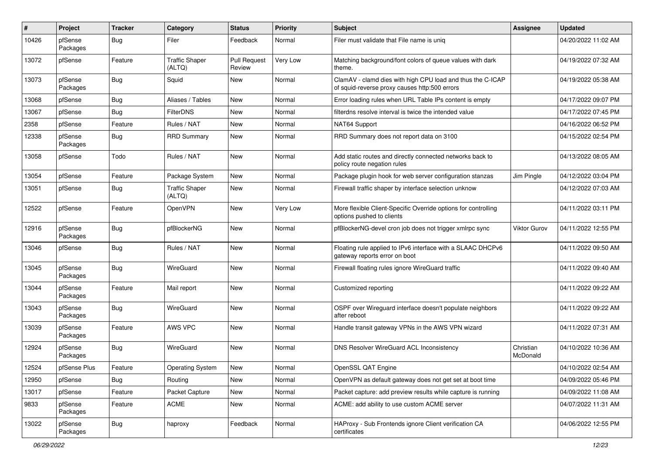| $\#$  | Project             | <b>Tracker</b> | Category                        | <b>Status</b>                 | <b>Priority</b> | Subject                                                                                                     | <b>Assignee</b>       | <b>Updated</b>      |
|-------|---------------------|----------------|---------------------------------|-------------------------------|-----------------|-------------------------------------------------------------------------------------------------------------|-----------------------|---------------------|
| 10426 | pfSense<br>Packages | <b>Bug</b>     | Filer                           | Feedback                      | Normal          | Filer must validate that File name is unig                                                                  |                       | 04/20/2022 11:02 AM |
| 13072 | pfSense             | Feature        | <b>Traffic Shaper</b><br>(ALTQ) | <b>Pull Request</b><br>Review | Very Low        | Matching background/font colors of queue values with dark<br>theme.                                         |                       | 04/19/2022 07:32 AM |
| 13073 | pfSense<br>Packages | <b>Bug</b>     | Squid                           | New                           | Normal          | ClamAV - clamd dies with high CPU load and thus the C-ICAP<br>of squid-reverse proxy causes http:500 errors |                       | 04/19/2022 05:38 AM |
| 13068 | pfSense             | <b>Bug</b>     | Aliases / Tables                | New                           | Normal          | Error loading rules when URL Table IPs content is empty                                                     |                       | 04/17/2022 09:07 PM |
| 13067 | pfSense             | <b>Bug</b>     | <b>FilterDNS</b>                | New                           | Normal          | filterdns resolve interval is twice the intended value                                                      |                       | 04/17/2022 07:45 PM |
| 2358  | pfSense             | Feature        | Rules / NAT                     | New                           | Normal          | NAT64 Support                                                                                               |                       | 04/16/2022 06:52 PM |
| 12338 | pfSense<br>Packages | <b>Bug</b>     | <b>RRD Summary</b>              | New                           | Normal          | RRD Summary does not report data on 3100                                                                    |                       | 04/15/2022 02:54 PM |
| 13058 | pfSense             | Todo           | Rules / NAT                     | <b>New</b>                    | Normal          | Add static routes and directly connected networks back to<br>policy route negation rules                    |                       | 04/13/2022 08:05 AM |
| 13054 | pfSense             | Feature        | Package System                  | New                           | Normal          | Package plugin hook for web server configuration stanzas                                                    | Jim Pingle            | 04/12/2022 03:04 PM |
| 13051 | pfSense             | Bug            | <b>Traffic Shaper</b><br>(ALTQ) | New                           | Normal          | Firewall traffic shaper by interface selection unknow                                                       |                       | 04/12/2022 07:03 AM |
| 12522 | pfSense             | Feature        | OpenVPN                         | New                           | Very Low        | More flexible Client-Specific Override options for controlling<br>options pushed to clients                 |                       | 04/11/2022 03:11 PM |
| 12916 | pfSense<br>Packages | <b>Bug</b>     | pfBlockerNG                     | New                           | Normal          | pfBlockerNG-devel cron job does not trigger xmlrpc sync                                                     | <b>Viktor Gurov</b>   | 04/11/2022 12:55 PM |
| 13046 | pfSense             | <b>Bug</b>     | Rules / NAT                     | <b>New</b>                    | Normal          | Floating rule applied to IPv6 interface with a SLAAC DHCPv6<br>gateway reports error on boot                |                       | 04/11/2022 09:50 AM |
| 13045 | pfSense<br>Packages | <b>Bug</b>     | WireGuard                       | <b>New</b>                    | Normal          | Firewall floating rules ignore WireGuard traffic                                                            |                       | 04/11/2022 09:40 AM |
| 13044 | pfSense<br>Packages | Feature        | Mail report                     | New                           | Normal          | Customized reporting                                                                                        |                       | 04/11/2022 09:22 AM |
| 13043 | pfSense<br>Packages | <b>Bug</b>     | WireGuard                       | <b>New</b>                    | Normal          | OSPF over Wireguard interface doesn't populate neighbors<br>after reboot                                    |                       | 04/11/2022 09:22 AM |
| 13039 | pfSense<br>Packages | Feature        | AWS VPC                         | New                           | Normal          | Handle transit gateway VPNs in the AWS VPN wizard                                                           |                       | 04/11/2022 07:31 AM |
| 12924 | pfSense<br>Packages | Bug            | WireGuard                       | <b>New</b>                    | Normal          | DNS Resolver WireGuard ACL Inconsistency                                                                    | Christian<br>McDonald | 04/10/2022 10:36 AM |
| 12524 | pfSense Plus        | Feature        | <b>Operating System</b>         | New                           | Normal          | OpenSSL QAT Engine                                                                                          |                       | 04/10/2022 02:54 AM |
| 12950 | pfSense             | Bug            | Routing                         | New                           | Normal          | OpenVPN as default gateway does not get set at boot time                                                    |                       | 04/09/2022 05:46 PM |
| 13017 | pfSense             | Feature        | Packet Capture                  | New                           | Normal          | Packet capture: add preview results while capture is running                                                |                       | 04/09/2022 11:08 AM |
| 9833  | pfSense<br>Packages | Feature        | ACME                            | New                           | Normal          | ACME: add ability to use custom ACME server                                                                 |                       | 04/07/2022 11:31 AM |
| 13022 | pfSense<br>Packages | <b>Bug</b>     | haproxy                         | Feedback                      | Normal          | HAProxy - Sub Frontends ignore Client verification CA<br>certificates                                       |                       | 04/06/2022 12:55 PM |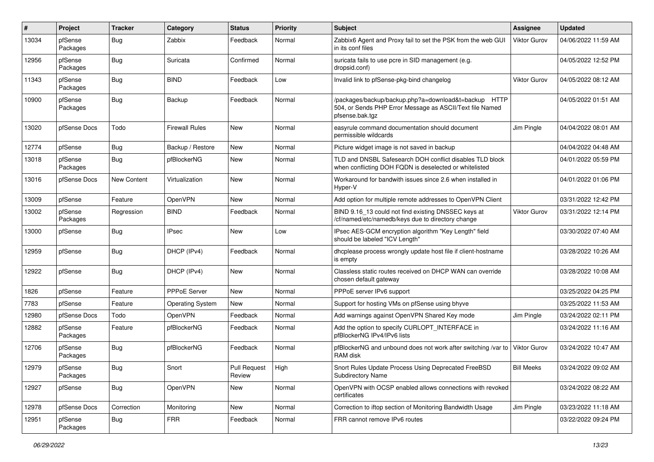| #     | Project             | <b>Tracker</b>   | Category                | <b>Status</b>                 | <b>Priority</b> | <b>Subject</b>                                                                                                                      | <b>Assignee</b>     | <b>Updated</b>      |
|-------|---------------------|------------------|-------------------------|-------------------------------|-----------------|-------------------------------------------------------------------------------------------------------------------------------------|---------------------|---------------------|
| 13034 | pfSense<br>Packages | <b>Bug</b>       | Zabbix                  | Feedback                      | Normal          | Zabbix6 Agent and Proxy fail to set the PSK from the web GUI<br>in its conf files                                                   | Viktor Gurov        | 04/06/2022 11:59 AM |
| 12956 | pfSense<br>Packages | <b>Bug</b>       | Suricata                | Confirmed                     | Normal          | suricata fails to use pcre in SID management (e.g.<br>dropsid.conf)                                                                 |                     | 04/05/2022 12:52 PM |
| 11343 | pfSense<br>Packages | <b>Bug</b>       | <b>BIND</b>             | Feedback                      | Low             | Invalid link to pfSense-pkg-bind changelog                                                                                          | <b>Viktor Gurov</b> | 04/05/2022 08:12 AM |
| 10900 | pfSense<br>Packages | Bug              | Backup                  | Feedback                      | Normal          | /packages/backup/backup.php?a=download&t=backup HTTP<br>504, or Sends PHP Error Message as ASCII/Text file Named<br>pfsense.bak.tgz |                     | 04/05/2022 01:51 AM |
| 13020 | pfSense Docs        | Todo             | <b>Firewall Rules</b>   | New                           | Normal          | easyrule command documentation should document<br>permissible wildcards                                                             | Jim Pingle          | 04/04/2022 08:01 AM |
| 12774 | pfSense             | <b>Bug</b>       | Backup / Restore        | New                           | Normal          | Picture widget image is not saved in backup                                                                                         |                     | 04/04/2022 04:48 AM |
| 13018 | pfSense<br>Packages | Bug              | pfBlockerNG             | New                           | Normal          | TLD and DNSBL Safesearch DOH conflict disables TLD block<br>when conflicting DOH FQDN is deselected or whitelisted                  |                     | 04/01/2022 05:59 PM |
| 13016 | pfSense Docs        | New Content      | Virtualization          | New                           | Normal          | Workaround for bandwith issues since 2.6 when installed in<br>Hyper-V                                                               |                     | 04/01/2022 01:06 PM |
| 13009 | pfSense             | Feature          | OpenVPN                 | New                           | Normal          | Add option for multiple remote addresses to OpenVPN Client                                                                          |                     | 03/31/2022 12:42 PM |
| 13002 | pfSense<br>Packages | Regression       | <b>BIND</b>             | Feedback                      | Normal          | BIND 9.16_13 could not find existing DNSSEC keys at<br>/cf/named/etc/namedb/keys due to directory change                            | <b>Viktor Gurov</b> | 03/31/2022 12:14 PM |
| 13000 | pfSense             | <b>Bug</b>       | <b>IPsec</b>            | New                           | Low             | IPsec AES-GCM encryption algorithm "Key Length" field<br>should be labeled "ICV Length"                                             |                     | 03/30/2022 07:40 AM |
| 12959 | pfSense             | Bug              | DHCP (IPv4)             | Feedback                      | Normal          | dhcplease process wrongly update host file if client-hostname<br>is empty                                                           |                     | 03/28/2022 10:26 AM |
| 12922 | pfSense             | <b>Bug</b>       | DHCP (IPv4)             | New                           | Normal          | Classless static routes received on DHCP WAN can override<br>chosen default gateway                                                 |                     | 03/28/2022 10:08 AM |
| 1826  | pfSense             | Feature          | PPPoE Server            | New                           | Normal          | PPPoE server IPv6 support                                                                                                           |                     | 03/25/2022 04:25 PM |
| 7783  | pfSense             | Feature          | <b>Operating System</b> | New                           | Normal          | Support for hosting VMs on pfSense using bhyve                                                                                      |                     | 03/25/2022 11:53 AM |
| 12980 | pfSense Docs        | Todo             | OpenVPN                 | Feedback                      | Normal          | Add warnings against OpenVPN Shared Key mode                                                                                        | Jim Pingle          | 03/24/2022 02:11 PM |
| 12882 | pfSense<br>Packages | Feature          | pfBlockerNG             | Feedback                      | Normal          | Add the option to specify CURLOPT_INTERFACE in<br>pfBlockerNG IPv4/IPv6 lists                                                       |                     | 03/24/2022 11:16 AM |
| 12706 | pfSense<br>Packages | <b>Bug</b>       | pfBlockerNG             | Feedback                      | Normal          | pfBlockerNG and unbound does not work after switching /var to<br>RAM disk                                                           | <b>Viktor Gurov</b> | 03/24/2022 10:47 AM |
| 12979 | pfSense<br>Packages | <sub>I</sub> Bug | Snort                   | <b>Pull Request</b><br>Review | High            | Snort Rules Update Process Using Deprecated FreeBSD<br>Subdirectory Name                                                            | <b>Bill Meeks</b>   | 03/24/2022 09:02 AM |
| 12927 | pfSense             | <b>Bug</b>       | OpenVPN                 | New                           | Normal          | OpenVPN with OCSP enabled allows connections with revoked<br>certificates                                                           |                     | 03/24/2022 08:22 AM |
| 12978 | pfSense Docs        | Correction       | Monitoring              | New                           | Normal          | Correction to iftop section of Monitoring Bandwidth Usage                                                                           | Jim Pingle          | 03/23/2022 11:18 AM |
| 12951 | pfSense<br>Packages | <b>Bug</b>       | <b>FRR</b>              | Feedback                      | Normal          | FRR cannot remove IPv6 routes                                                                                                       |                     | 03/22/2022 09:24 PM |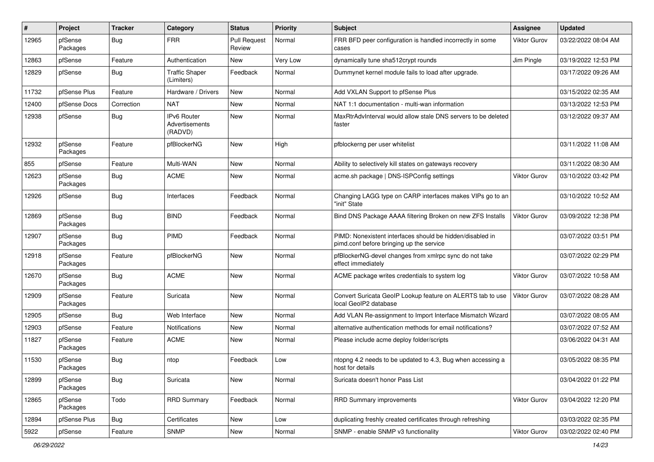| #     | Project             | <b>Tracker</b> | Category                                 | <b>Status</b>                 | <b>Priority</b> | Subject                                                                                               | <b>Assignee</b> | <b>Updated</b>      |
|-------|---------------------|----------------|------------------------------------------|-------------------------------|-----------------|-------------------------------------------------------------------------------------------------------|-----------------|---------------------|
| 12965 | pfSense<br>Packages | <b>Bug</b>     | <b>FRR</b>                               | <b>Pull Request</b><br>Review | Normal          | FRR BFD peer configuration is handled incorrectly in some<br>cases                                    | Viktor Gurov    | 03/22/2022 08:04 AM |
| 12863 | pfSense             | Feature        | Authentication                           | New                           | Very Low        | dynamically tune sha512crypt rounds                                                                   | Jim Pingle      | 03/19/2022 12:53 PM |
| 12829 | pfSense             | <b>Bug</b>     | <b>Traffic Shaper</b><br>(Limiters)      | Feedback                      | Normal          | Dummynet kernel module fails to load after upgrade.                                                   |                 | 03/17/2022 09:26 AM |
| 11732 | pfSense Plus        | Feature        | Hardware / Drivers                       | New                           | Normal          | Add VXLAN Support to pfSense Plus                                                                     |                 | 03/15/2022 02:35 AM |
| 12400 | pfSense Docs        | Correction     | <b>NAT</b>                               | New                           | Normal          | NAT 1:1 documentation - multi-wan information                                                         |                 | 03/13/2022 12:53 PM |
| 12938 | pfSense             | <b>Bug</b>     | IPv6 Router<br>Advertisements<br>(RADVD) | New                           | Normal          | MaxRtrAdvInterval would allow stale DNS servers to be deleted<br>faster                               |                 | 03/12/2022 09:37 AM |
| 12932 | pfSense<br>Packages | Feature        | pfBlockerNG                              | New                           | High            | pfblockerng per user whitelist                                                                        |                 | 03/11/2022 11:08 AM |
| 855   | pfSense             | Feature        | Multi-WAN                                | <b>New</b>                    | Normal          | Ability to selectively kill states on gateways recovery                                               |                 | 03/11/2022 08:30 AM |
| 12623 | pfSense<br>Packages | Bug            | <b>ACME</b>                              | New                           | Normal          | acme.sh package   DNS-ISPConfig settings                                                              | Viktor Gurov    | 03/10/2022 03:42 PM |
| 12926 | pfSense             | Bug            | Interfaces                               | Feedback                      | Normal          | Changing LAGG type on CARP interfaces makes VIPs go to an<br>"init" State                             |                 | 03/10/2022 10:52 AM |
| 12869 | pfSense<br>Packages | <b>Bug</b>     | <b>BIND</b>                              | Feedback                      | Normal          | Bind DNS Package AAAA filtering Broken on new ZFS Installs                                            | Viktor Gurov    | 03/09/2022 12:38 PM |
| 12907 | pfSense<br>Packages | <b>Bug</b>     | <b>PIMD</b>                              | Feedback                      | Normal          | PIMD: Nonexistent interfaces should be hidden/disabled in<br>pimd.conf before bringing up the service |                 | 03/07/2022 03:51 PM |
| 12918 | pfSense<br>Packages | Feature        | pfBlockerNG                              | New                           | Normal          | pfBlockerNG-devel changes from xmlrpc sync do not take<br>effect immediately                          |                 | 03/07/2022 02:29 PM |
| 12670 | pfSense<br>Packages | Bug            | <b>ACME</b>                              | New                           | Normal          | ACME package writes credentials to system log                                                         | Viktor Gurov    | 03/07/2022 10:58 AM |
| 12909 | pfSense<br>Packages | Feature        | Suricata                                 | New                           | Normal          | Convert Suricata GeoIP Lookup feature on ALERTS tab to use<br>local GeoIP2 database                   | Viktor Gurov    | 03/07/2022 08:28 AM |
| 12905 | pfSense             | Bug            | Web Interface                            | New                           | Normal          | Add VLAN Re-assignment to Import Interface Mismatch Wizard                                            |                 | 03/07/2022 08:05 AM |
| 12903 | pfSense             | Feature        | Notifications                            | New                           | Normal          | alternative authentication methods for email notifications?                                           |                 | 03/07/2022 07:52 AM |
| 11827 | pfSense<br>Packages | Feature        | <b>ACME</b>                              | New                           | Normal          | Please include acme deploy folder/scripts                                                             |                 | 03/06/2022 04:31 AM |
| 11530 | pfSense<br>Packages | <b>Bug</b>     | ntop                                     | Feedback                      | Low             | ntopng 4.2 needs to be updated to 4.3, Bug when accessing a<br>host for details                       |                 | 03/05/2022 08:35 PM |
| 12899 | pfSense<br>Packages | <b>Bug</b>     | Suricata                                 | New                           | Normal          | Suricata doesn't honor Pass List                                                                      |                 | 03/04/2022 01:22 PM |
| 12865 | pfSense<br>Packages | Todo           | <b>RRD Summary</b>                       | Feedback                      | Normal          | RRD Summary improvements                                                                              | Viktor Gurov    | 03/04/2022 12:20 PM |
| 12894 | pfSense Plus        | <b>Bug</b>     | Certificates                             | New                           | Low             | duplicating freshly created certificates through refreshing                                           |                 | 03/03/2022 02:35 PM |
| 5922  | pfSense             | Feature        | <b>SNMP</b>                              | New                           | Normal          | SNMP - enable SNMP v3 functionality                                                                   | Viktor Gurov    | 03/02/2022 02:40 PM |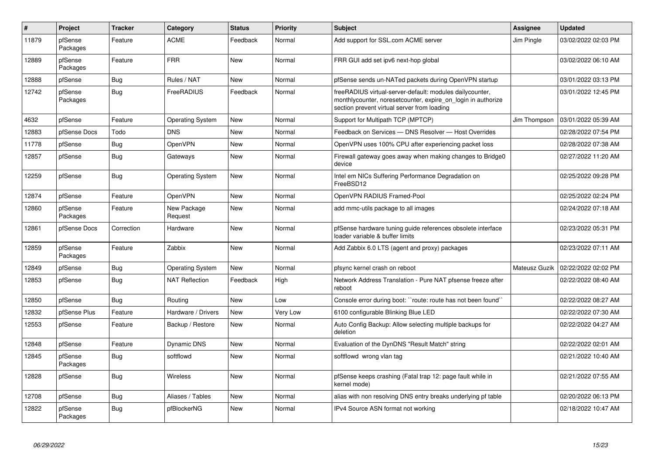| $\#$  | <b>Project</b>      | <b>Tracker</b> | Category                | <b>Status</b> | <b>Priority</b> | <b>Subject</b>                                                                                                                                                           | Assignee      | <b>Updated</b>      |
|-------|---------------------|----------------|-------------------------|---------------|-----------------|--------------------------------------------------------------------------------------------------------------------------------------------------------------------------|---------------|---------------------|
| 11879 | pfSense<br>Packages | Feature        | <b>ACME</b>             | Feedback      | Normal          | Add support for SSL.com ACME server                                                                                                                                      | Jim Pingle    | 03/02/2022 02:03 PM |
| 12889 | pfSense<br>Packages | Feature        | <b>FRR</b>              | New           | Normal          | FRR GUI add set ipv6 next-hop global                                                                                                                                     |               | 03/02/2022 06:10 AM |
| 12888 | pfSense             | <b>Bug</b>     | Rules / NAT             | <b>New</b>    | Normal          | pfSense sends un-NATed packets during OpenVPN startup                                                                                                                    |               | 03/01/2022 03:13 PM |
| 12742 | pfSense<br>Packages | Bug            | FreeRADIUS              | Feedback      | Normal          | freeRADIUS virtual-server-default: modules dailycounter,<br>monthlycounter, noreset counter, expire on login in authorize<br>section prevent virtual server from loading |               | 03/01/2022 12:45 PM |
| 4632  | pfSense             | Feature        | <b>Operating System</b> | New           | Normal          | Support for Multipath TCP (MPTCP)                                                                                                                                        | Jim Thompson  | 03/01/2022 05:39 AM |
| 12883 | pfSense Docs        | Todo           | <b>DNS</b>              | New           | Normal          | Feedback on Services - DNS Resolver - Host Overrides                                                                                                                     |               | 02/28/2022 07:54 PM |
| 11778 | pfSense             | Bug            | <b>OpenVPN</b>          | <b>New</b>    | Normal          | OpenVPN uses 100% CPU after experiencing packet loss                                                                                                                     |               | 02/28/2022 07:38 AM |
| 12857 | pfSense             | <b>Bug</b>     | Gateways                | New           | Normal          | Firewall gateway goes away when making changes to Bridge0<br>device                                                                                                      |               | 02/27/2022 11:20 AM |
| 12259 | pfSense             | <b>Bug</b>     | <b>Operating System</b> | New           | Normal          | Intel em NICs Suffering Performance Degradation on<br>FreeBSD12                                                                                                          |               | 02/25/2022 09:28 PM |
| 12874 | pfSense             | Feature        | <b>OpenVPN</b>          | New           | Normal          | OpenVPN RADIUS Framed-Pool                                                                                                                                               |               | 02/25/2022 02:24 PM |
| 12860 | pfSense<br>Packages | Feature        | New Package<br>Request  | New           | Normal          | add mmc-utils package to all images                                                                                                                                      |               | 02/24/2022 07:18 AM |
| 12861 | pfSense Docs        | Correction     | Hardware                | <b>New</b>    | Normal          | pfSense hardware tuning guide references obsolete interface<br>loader variable & buffer limits                                                                           |               | 02/23/2022 05:31 PM |
| 12859 | pfSense<br>Packages | Feature        | Zabbix                  | <b>New</b>    | Normal          | Add Zabbix 6.0 LTS (agent and proxy) packages                                                                                                                            |               | 02/23/2022 07:11 AM |
| 12849 | pfSense             | Bug            | <b>Operating System</b> | New           | Normal          | pfsync kernel crash on reboot                                                                                                                                            | Mateusz Guzik | 02/22/2022 02:02 PM |
| 12853 | pfSense             | <b>Bug</b>     | <b>NAT Reflection</b>   | Feedback      | High            | Network Address Translation - Pure NAT pfsense freeze after<br>reboot                                                                                                    |               | 02/22/2022 08:40 AM |
| 12850 | pfSense             | Bug            | Routing                 | New           | Low             | Console error during boot: "route: route has not been found"                                                                                                             |               | 02/22/2022 08:27 AM |
| 12832 | pfSense Plus        | Feature        | Hardware / Drivers      | New           | Very Low        | 6100 configurable Blinking Blue LED                                                                                                                                      |               | 02/22/2022 07:30 AM |
| 12553 | pfSense             | Feature        | Backup / Restore        | <b>New</b>    | Normal          | Auto Config Backup: Allow selecting multiple backups for<br>deletion                                                                                                     |               | 02/22/2022 04:27 AM |
| 12848 | pfSense             | Feature        | <b>Dynamic DNS</b>      | <b>New</b>    | Normal          | Evaluation of the DynDNS "Result Match" string                                                                                                                           |               | 02/22/2022 02:01 AM |
| 12845 | pfSense<br>Packages | Bug            | softflowd               | New           | Normal          | softflowd wrong vlan tag                                                                                                                                                 |               | 02/21/2022 10:40 AM |
| 12828 | pfSense             | Bug            | Wireless                | New           | Normal          | pfSense keeps crashing (Fatal trap 12: page fault while in<br>kernel mode)                                                                                               |               | 02/21/2022 07:55 AM |
| 12708 | pfSense             | <b>Bug</b>     | Aliases / Tables        | New           | Normal          | alias with non resolving DNS entry breaks underlying pf table                                                                                                            |               | 02/20/2022 06:13 PM |
| 12822 | pfSense<br>Packages | <b>Bug</b>     | pfBlockerNG             | New           | Normal          | IPv4 Source ASN format not working                                                                                                                                       |               | 02/18/2022 10:47 AM |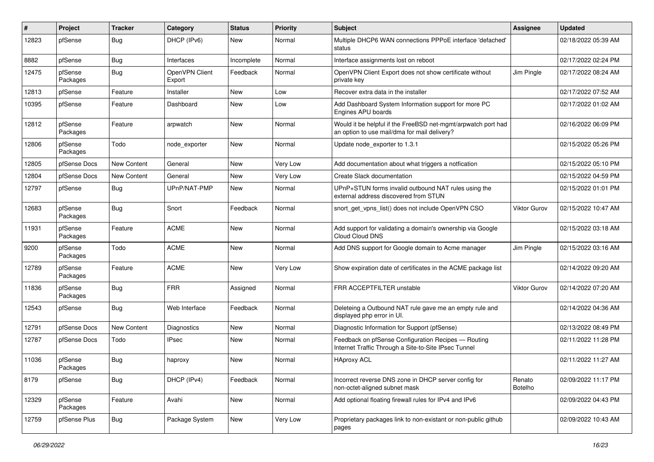| ∦     | Project             | <b>Tracker</b> | Category                 | <b>Status</b> | <b>Priority</b> | <b>Subject</b>                                                                                                | <b>Assignee</b>   | <b>Updated</b>      |
|-------|---------------------|----------------|--------------------------|---------------|-----------------|---------------------------------------------------------------------------------------------------------------|-------------------|---------------------|
| 12823 | pfSense             | <b>Bug</b>     | DHCP (IPv6)              | New           | Normal          | Multiple DHCP6 WAN connections PPPoE interface 'defached'<br>status                                           |                   | 02/18/2022 05:39 AM |
| 8882  | pfSense             | <b>Bug</b>     | Interfaces               | Incomplete    | Normal          | Interface assignments lost on reboot                                                                          |                   | 02/17/2022 02:24 PM |
| 12475 | pfSense<br>Packages | <b>Bug</b>     | OpenVPN Client<br>Export | Feedback      | Normal          | OpenVPN Client Export does not show certificate without<br>private key                                        | Jim Pingle        | 02/17/2022 08:24 AM |
| 12813 | pfSense             | Feature        | Installer                | New           | Low             | Recover extra data in the installer                                                                           |                   | 02/17/2022 07:52 AM |
| 10395 | pfSense             | Feature        | Dashboard                | New           | Low             | Add Dashboard System Information support for more PC<br>Engines APU boards                                    |                   | 02/17/2022 01:02 AM |
| 12812 | pfSense<br>Packages | Feature        | arpwatch                 | New           | Normal          | Would it be helpful if the FreeBSD net-mgmt/arpwatch port had<br>an option to use mail/dma for mail delivery? |                   | 02/16/2022 06:09 PM |
| 12806 | pfSense<br>Packages | Todo           | node exporter            | New           | Normal          | Update node_exporter to 1.3.1                                                                                 |                   | 02/15/2022 05:26 PM |
| 12805 | pfSense Docs        | New Content    | General                  | New           | Very Low        | Add documentation about what triggers a notfication                                                           |                   | 02/15/2022 05:10 PM |
| 12804 | pfSense Docs        | New Content    | General                  | New           | Very Low        | Create Slack documentation                                                                                    |                   | 02/15/2022 04:59 PM |
| 12797 | pfSense             | <b>Bug</b>     | UPnP/NAT-PMP             | New           | Normal          | UPnP+STUN forms invalid outbound NAT rules using the<br>external address discovered from STUN                 |                   | 02/15/2022 01:01 PM |
| 12683 | pfSense<br>Packages | Bug            | Snort                    | Feedback      | Normal          | snort get vpns list() does not include OpenVPN CSO                                                            | Viktor Gurov      | 02/15/2022 10:47 AM |
| 11931 | pfSense<br>Packages | Feature        | <b>ACME</b>              | New           | Normal          | Add support for validating a domain's ownership via Google<br>Cloud Cloud DNS                                 |                   | 02/15/2022 03:18 AM |
| 9200  | pfSense<br>Packages | Todo           | <b>ACME</b>              | New           | Normal          | Add DNS support for Google domain to Acme manager                                                             | Jim Pingle        | 02/15/2022 03:16 AM |
| 12789 | pfSense<br>Packages | Feature        | <b>ACME</b>              | New           | Very Low        | Show expiration date of certificates in the ACME package list                                                 |                   | 02/14/2022 09:20 AM |
| 11836 | pfSense<br>Packages | <b>Bug</b>     | <b>FRR</b>               | Assigned      | Normal          | FRR ACCEPTFILTER unstable                                                                                     | Viktor Gurov      | 02/14/2022 07:20 AM |
| 12543 | pfSense             | Bug            | Web Interface            | Feedback      | Normal          | Deleteing a Outbound NAT rule gave me an empty rule and<br>displayed php error in UI.                         |                   | 02/14/2022 04:36 AM |
| 12791 | pfSense Docs        | New Content    | <b>Diagnostics</b>       | New           | Normal          | Diagnostic Information for Support (pfSense)                                                                  |                   | 02/13/2022 08:49 PM |
| 12787 | pfSense Docs        | Todo           | <b>IPsec</b>             | New           | Normal          | Feedback on pfSense Configuration Recipes - Routing<br>Internet Traffic Through a Site-to-Site IPsec Tunnel   |                   | 02/11/2022 11:28 PM |
| 11036 | pfSense<br>Packages | <b>Bug</b>     | haproxy                  | New           | Normal          | <b>HAproxy ACL</b>                                                                                            |                   | 02/11/2022 11:27 AM |
| 8179  | pfSense             | Bug            | DHCP (IPv4)              | Feedback      | Normal          | Incorrect reverse DNS zone in DHCP server config for<br>non-octet-aligned subnet mask                         | Renato<br>Botelho | 02/09/2022 11:17 PM |
| 12329 | pfSense<br>Packages | Feature        | Avahi                    | New           | Normal          | Add optional floating firewall rules for IPv4 and IPv6                                                        |                   | 02/09/2022 04:43 PM |
| 12759 | pfSense Plus        | <b>Bug</b>     | Package System           | New           | Very Low        | Proprietary packages link to non-existant or non-public github<br>pages                                       |                   | 02/09/2022 10:43 AM |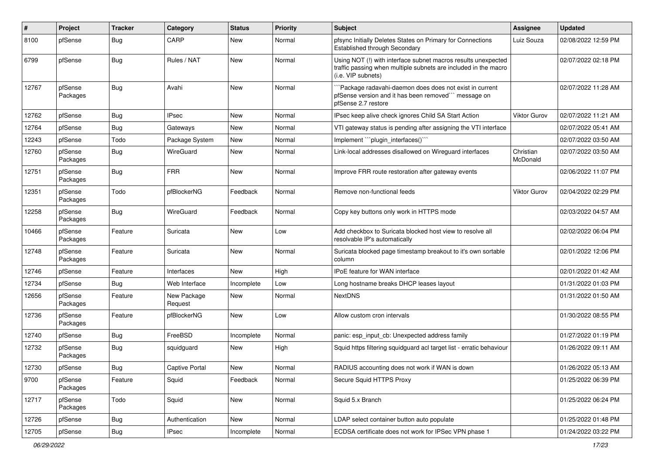| $\pmb{\#}$ | Project             | <b>Tracker</b>   | Category               | <b>Status</b> | <b>Priority</b> | Subject                                                                                                                                                | <b>Assignee</b>       | <b>Updated</b>      |
|------------|---------------------|------------------|------------------------|---------------|-----------------|--------------------------------------------------------------------------------------------------------------------------------------------------------|-----------------------|---------------------|
| 8100       | pfSense             | <b>Bug</b>       | CARP                   | New           | Normal          | pfsync Initially Deletes States on Primary for Connections<br>Established through Secondary                                                            | Luiz Souza            | 02/08/2022 12:59 PM |
| 6799       | pfSense             | <b>Bug</b>       | Rules / NAT            | New           | Normal          | Using NOT (!) with interface subnet macros results unexpected<br>traffic passing when multiple subnets are included in the macro<br>(i.e. VIP subnets) |                       | 02/07/2022 02:18 PM |
| 12767      | pfSense<br>Packages | <b>Bug</b>       | Avahi                  | New           | Normal          | `Package radavahi-daemon does does not exist in current<br>pfSense version and it has been removed" message on<br>pfSense 2.7 restore                  |                       | 02/07/2022 11:28 AM |
| 12762      | pfSense             | Bug              | <b>IPsec</b>           | New           | Normal          | IPsec keep alive check ignores Child SA Start Action                                                                                                   | Viktor Gurov          | 02/07/2022 11:21 AM |
| 12764      | pfSense             | <b>Bug</b>       | Gateways               | New           | Normal          | VTI gateway status is pending after assigning the VTI interface                                                                                        |                       | 02/07/2022 05:41 AM |
| 12243      | pfSense             | Todo             | Package System         | New           | Normal          | Implement "plugin_interfaces()"                                                                                                                        |                       | 02/07/2022 03:50 AM |
| 12760      | pfSense<br>Packages | <b>Bug</b>       | WireGuard              | New           | Normal          | Link-local addresses disallowed on Wireguard interfaces                                                                                                | Christian<br>McDonald | 02/07/2022 03:50 AM |
| 12751      | pfSense<br>Packages | <b>Bug</b>       | <b>FRR</b>             | New           | Normal          | Improve FRR route restoration after gateway events                                                                                                     |                       | 02/06/2022 11:07 PM |
| 12351      | pfSense<br>Packages | Todo             | pfBlockerNG            | Feedback      | Normal          | Remove non-functional feeds                                                                                                                            | Viktor Gurov          | 02/04/2022 02:29 PM |
| 12258      | pfSense<br>Packages | Bug              | WireGuard              | Feedback      | Normal          | Copy key buttons only work in HTTPS mode                                                                                                               |                       | 02/03/2022 04:57 AM |
| 10466      | pfSense<br>Packages | Feature          | Suricata               | New           | Low             | Add checkbox to Suricata blocked host view to resolve all<br>resolvable IP's automatically                                                             |                       | 02/02/2022 06:04 PM |
| 12748      | pfSense<br>Packages | Feature          | Suricata               | New           | Normal          | Suricata blocked page timestamp breakout to it's own sortable<br>column                                                                                |                       | 02/01/2022 12:06 PM |
| 12746      | pfSense             | Feature          | Interfaces             | New           | High            | IPoE feature for WAN interface                                                                                                                         |                       | 02/01/2022 01:42 AM |
| 12734      | pfSense             | <b>Bug</b>       | Web Interface          | Incomplete    | Low             | Long hostname breaks DHCP leases layout                                                                                                                |                       | 01/31/2022 01:03 PM |
| 12656      | pfSense<br>Packages | Feature          | New Package<br>Request | New           | Normal          | <b>NextDNS</b>                                                                                                                                         |                       | 01/31/2022 01:50 AM |
| 12736      | pfSense<br>Packages | Feature          | pfBlockerNG            | New           | Low             | Allow custom cron intervals                                                                                                                            |                       | 01/30/2022 08:55 PM |
| 12740      | pfSense             | <b>Bug</b>       | FreeBSD                | Incomplete    | Normal          | panic: esp_input_cb: Unexpected address family                                                                                                         |                       | 01/27/2022 01:19 PM |
| 12732      | pfSense<br>Packages | <b>Bug</b>       | squidguard             | New           | High            | Squid https filtering squidguard acl target list - erratic behaviour                                                                                   |                       | 01/26/2022 09:11 AM |
| 12730      | pfSense             | Bug              | Captive Portal         | New           | Normal          | RADIUS accounting does not work if WAN is down                                                                                                         |                       | 01/26/2022 05:13 AM |
| 9700       | pfSense<br>Packages | Feature          | Squid                  | Feedback      | Normal          | Secure Squid HTTPS Proxy                                                                                                                               |                       | 01/25/2022 06:39 PM |
| 12717      | pfSense<br>Packages | Todo             | Squid                  | New           | Normal          | Squid 5.x Branch                                                                                                                                       |                       | 01/25/2022 06:24 PM |
| 12726      | pfSense             | <b>Bug</b>       | Authentication         | New           | Normal          | LDAP select container button auto populate                                                                                                             |                       | 01/25/2022 01:48 PM |
| 12705      | pfSense             | <sub>I</sub> Bug | <b>IPsec</b>           | Incomplete    | Normal          | ECDSA certificate does not work for IPSec VPN phase 1                                                                                                  |                       | 01/24/2022 03:22 PM |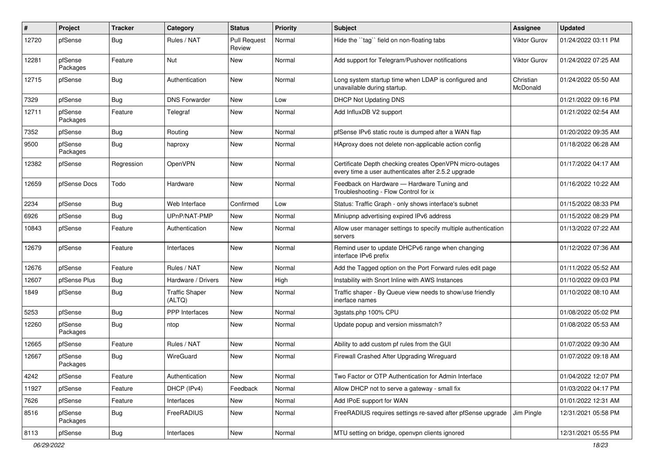| #     | Project             | <b>Tracker</b> | Category                        | <b>Status</b>                 | <b>Priority</b> | <b>Subject</b>                                                                                                  | <b>Assignee</b>       | <b>Updated</b>      |
|-------|---------------------|----------------|---------------------------------|-------------------------------|-----------------|-----------------------------------------------------------------------------------------------------------------|-----------------------|---------------------|
| 12720 | pfSense             | <b>Bug</b>     | Rules / NAT                     | <b>Pull Request</b><br>Review | Normal          | Hide the "tag" field on non-floating tabs                                                                       | Viktor Gurov          | 01/24/2022 03:11 PM |
| 12281 | pfSense<br>Packages | Feature        | Nut                             | New                           | Normal          | Add support for Telegram/Pushover notifications                                                                 | Viktor Gurov          | 01/24/2022 07:25 AM |
| 12715 | pfSense             | <b>Bug</b>     | Authentication                  | <b>New</b>                    | Normal          | Long system startup time when LDAP is configured and<br>unavailable during startup.                             | Christian<br>McDonald | 01/24/2022 05:50 AM |
| 7329  | pfSense             | <b>Bug</b>     | <b>DNS Forwarder</b>            | <b>New</b>                    | Low             | <b>DHCP Not Updating DNS</b>                                                                                    |                       | 01/21/2022 09:16 PM |
| 12711 | pfSense<br>Packages | Feature        | Telegraf                        | New                           | Normal          | Add InfluxDB V2 support                                                                                         |                       | 01/21/2022 02:54 AM |
| 7352  | pfSense             | <b>Bug</b>     | Routing                         | <b>New</b>                    | Normal          | pfSense IPv6 static route is dumped after a WAN flap                                                            |                       | 01/20/2022 09:35 AM |
| 9500  | pfSense<br>Packages | <b>Bug</b>     | haproxy                         | New                           | Normal          | HAproxy does not delete non-applicable action config                                                            |                       | 01/18/2022 06:28 AM |
| 12382 | pfSense             | Regression     | OpenVPN                         | <b>New</b>                    | Normal          | Certificate Depth checking creates OpenVPN micro-outages<br>every time a user authenticates after 2.5.2 upgrade |                       | 01/17/2022 04:17 AM |
| 12659 | pfSense Docs        | Todo           | Hardware                        | <b>New</b>                    | Normal          | Feedback on Hardware - Hardware Tuning and<br>Troubleshooting - Flow Control for ix                             |                       | 01/16/2022 10:22 AM |
| 2234  | pfSense             | <b>Bug</b>     | Web Interface                   | Confirmed                     | Low             | Status: Traffic Graph - only shows interface's subnet                                                           |                       | 01/15/2022 08:33 PM |
| 6926  | pfSense             | <b>Bug</b>     | UPnP/NAT-PMP                    | New                           | Normal          | Miniupnp advertising expired IPv6 address                                                                       |                       | 01/15/2022 08:29 PM |
| 10843 | pfSense             | Feature        | Authentication                  | New                           | Normal          | Allow user manager settings to specify multiple authentication<br>servers                                       |                       | 01/13/2022 07:22 AM |
| 12679 | pfSense             | Feature        | Interfaces                      | <b>New</b>                    | Normal          | Remind user to update DHCPv6 range when changing<br>interface IPv6 prefix                                       |                       | 01/12/2022 07:36 AM |
| 12676 | pfSense             | Feature        | Rules / NAT                     | <b>New</b>                    | Normal          | Add the Tagged option on the Port Forward rules edit page                                                       |                       | 01/11/2022 05:52 AM |
| 12607 | pfSense Plus        | Bug            | Hardware / Drivers              | <b>New</b>                    | High            | Instability with Snort Inline with AWS Instances                                                                |                       | 01/10/2022 09:03 PM |
| 1849  | pfSense             | <b>Bug</b>     | <b>Traffic Shaper</b><br>(ALTQ) | New                           | Normal          | Traffic shaper - By Queue view needs to show/use friendly<br>inerface names                                     |                       | 01/10/2022 08:10 AM |
| 5253  | pfSense             | <b>Bug</b>     | <b>PPP</b> Interfaces           | <b>New</b>                    | Normal          | 3gstats.php 100% CPU                                                                                            |                       | 01/08/2022 05:02 PM |
| 12260 | pfSense<br>Packages | <b>Bug</b>     | ntop                            | New                           | Normal          | Update popup and version missmatch?                                                                             |                       | 01/08/2022 05:53 AM |
| 12665 | pfSense             | Feature        | Rules / NAT                     | New                           | Normal          | Ability to add custom pf rules from the GUI                                                                     |                       | 01/07/2022 09:30 AM |
| 12667 | pfSense<br>Packages | <b>Bug</b>     | WireGuard                       | New                           | Normal          | Firewall Crashed After Upgrading Wireguard                                                                      |                       | 01/07/2022 09:18 AM |
| 4242  | pfSense             | Feature        | Authentication                  | New                           | Normal          | Two Factor or OTP Authentication for Admin Interface                                                            |                       | 01/04/2022 12:07 PM |
| 11927 | pfSense             | Feature        | DHCP (IPv4)                     | Feedback                      | Normal          | Allow DHCP not to serve a gateway - small fix                                                                   |                       | 01/03/2022 04:17 PM |
| 7626  | pfSense             | Feature        | Interfaces                      | New                           | Normal          | Add IPoE support for WAN                                                                                        |                       | 01/01/2022 12:31 AM |
| 8516  | pfSense<br>Packages | Bug            | FreeRADIUS                      | New                           | Normal          | FreeRADIUS requires settings re-saved after pfSense upgrade                                                     | Jim Pingle            | 12/31/2021 05:58 PM |
| 8113  | pfSense             | Bug            | Interfaces                      | New                           | Normal          | MTU setting on bridge, openvpn clients ignored                                                                  |                       | 12/31/2021 05:55 PM |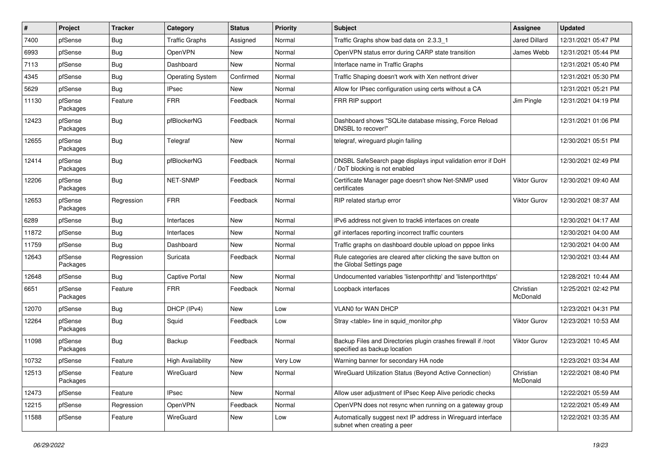| #     | Project             | <b>Tracker</b> | Category                 | <b>Status</b> | Priority | <b>Subject</b>                                                                                | <b>Assignee</b>       | <b>Updated</b>      |
|-------|---------------------|----------------|--------------------------|---------------|----------|-----------------------------------------------------------------------------------------------|-----------------------|---------------------|
| 7400  | pfSense             | <b>Bug</b>     | <b>Traffic Graphs</b>    | Assigned      | Normal   | Traffic Graphs show bad data on 2.3.3 1                                                       | Jared Dillard         | 12/31/2021 05:47 PM |
| 6993  | pfSense             | <b>Bug</b>     | OpenVPN                  | New           | Normal   | OpenVPN status error during CARP state transition                                             | James Webb            | 12/31/2021 05:44 PM |
| 7113  | pfSense             | Bug            | Dashboard                | New           | Normal   | Interface name in Traffic Graphs                                                              |                       | 12/31/2021 05:40 PM |
| 4345  | pfSense             | <b>Bug</b>     | <b>Operating System</b>  | Confirmed     | Normal   | Traffic Shaping doesn't work with Xen netfront driver                                         |                       | 12/31/2021 05:30 PM |
| 5629  | pfSense             | <b>Bug</b>     | <b>IPsec</b>             | <b>New</b>    | Normal   | Allow for IPsec configuration using certs without a CA                                        |                       | 12/31/2021 05:21 PM |
| 11130 | pfSense<br>Packages | Feature        | <b>FRR</b>               | Feedback      | Normal   | FRR RIP support                                                                               | Jim Pingle            | 12/31/2021 04:19 PM |
| 12423 | pfSense<br>Packages | <b>Bug</b>     | pfBlockerNG              | Feedback      | Normal   | Dashboard shows "SQLite database missing, Force Reload<br>DNSBL to recover!"                  |                       | 12/31/2021 01:06 PM |
| 12655 | pfSense<br>Packages | Bug            | Telegraf                 | New           | Normal   | telegraf, wireguard plugin failing                                                            |                       | 12/30/2021 05:51 PM |
| 12414 | pfSense<br>Packages | <b>Bug</b>     | pfBlockerNG              | Feedback      | Normal   | DNSBL SafeSearch page displays input validation error if DoH<br>DoT blocking is not enabled   |                       | 12/30/2021 02:49 PM |
| 12206 | pfSense<br>Packages | Bug            | <b>NET-SNMP</b>          | Feedback      | Normal   | Certificate Manager page doesn't show Net-SNMP used<br>certificates                           | Viktor Gurov          | 12/30/2021 09:40 AM |
| 12653 | pfSense<br>Packages | Regression     | <b>FRR</b>               | Feedback      | Normal   | RIP related startup error                                                                     | Viktor Gurov          | 12/30/2021 08:37 AM |
| 6289  | pfSense             | <b>Bug</b>     | Interfaces               | New           | Normal   | IPv6 address not given to track6 interfaces on create                                         |                       | 12/30/2021 04:17 AM |
| 11872 | pfSense             | <b>Bug</b>     | Interfaces               | <b>New</b>    | Normal   | gif interfaces reporting incorrect traffic counters                                           |                       | 12/30/2021 04:00 AM |
| 11759 | pfSense             | Bug            | Dashboard                | New           | Normal   | Traffic graphs on dashboard double upload on pppoe links                                      |                       | 12/30/2021 04:00 AM |
| 12643 | pfSense<br>Packages | Regression     | Suricata                 | Feedback      | Normal   | Rule categories are cleared after clicking the save button on<br>the Global Settings page     |                       | 12/30/2021 03:44 AM |
| 12648 | pfSense             | Bug            | <b>Captive Portal</b>    | <b>New</b>    | Normal   | Undocumented variables 'listenporthttp' and 'listenporthttps'                                 |                       | 12/28/2021 10:44 AM |
| 6651  | pfSense<br>Packages | Feature        | <b>FRR</b>               | Feedback      | Normal   | Loopback interfaces                                                                           | Christian<br>McDonald | 12/25/2021 02:42 PM |
| 12070 | pfSense             | Bug            | DHCP (IPv4)              | <b>New</b>    | Low      | <b>VLAN0 for WAN DHCP</b>                                                                     |                       | 12/23/2021 04:31 PM |
| 12264 | pfSense<br>Packages | <b>Bug</b>     | Squid                    | Feedback      | Low      | Stray <table> line in squid monitor.php</table>                                               | Viktor Gurov          | 12/23/2021 10:53 AM |
| 11098 | pfSense<br>Packages | Bug            | Backup                   | Feedback      | Normal   | Backup Files and Directories plugin crashes firewall if /root<br>specified as backup location | Viktor Gurov          | 12/23/2021 10:45 AM |
| 10732 | pfSense             | Feature        | <b>High Availability</b> | New           | Very Low | Warning banner for secondary HA node                                                          |                       | 12/23/2021 03:34 AM |
| 12513 | pfSense<br>Packages | Feature        | WireGuard                | New           | Normal   | WireGuard Utilization Status (Beyond Active Connection)                                       | Christian<br>McDonald | 12/22/2021 08:40 PM |
| 12473 | pfSense             | Feature        | <b>IPsec</b>             | New           | Normal   | Allow user adjustment of IPsec Keep Alive periodic checks                                     |                       | 12/22/2021 05:59 AM |
| 12215 | pfSense             | Regression     | OpenVPN                  | Feedback      | Normal   | OpenVPN does not resync when running on a gateway group                                       |                       | 12/22/2021 05:49 AM |
| 11588 | pfSense             | Feature        | WireGuard                | New           | Low      | Automatically suggest next IP address in Wireguard interface<br>subnet when creating a peer   |                       | 12/22/2021 03:35 AM |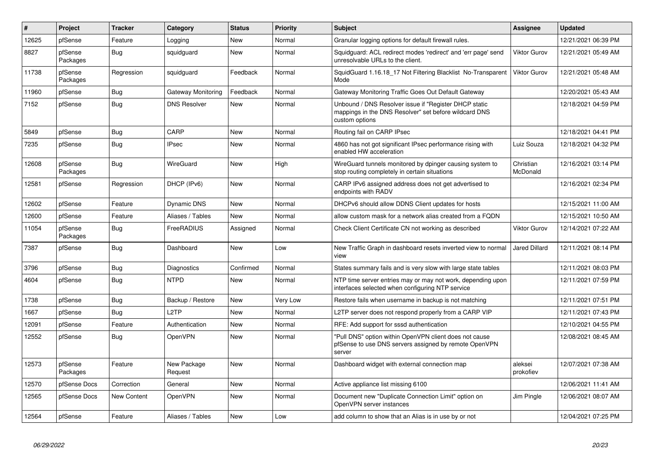| $\vert$ # | Project             | <b>Tracker</b> | Category               | <b>Status</b> | <b>Priority</b> | <b>Subject</b>                                                                                                                   | Assignee              | <b>Updated</b>      |
|-----------|---------------------|----------------|------------------------|---------------|-----------------|----------------------------------------------------------------------------------------------------------------------------------|-----------------------|---------------------|
| 12625     | pfSense             | Feature        | Logging                | New           | Normal          | Granular logging options for default firewall rules.                                                                             |                       | 12/21/2021 06:39 PM |
| 8827      | pfSense<br>Packages | Bug            | squidguard             | <b>New</b>    | Normal          | Squidguard: ACL redirect modes 'redirect' and 'err page' send<br>unresolvable URLs to the client.                                | <b>Viktor Gurov</b>   | 12/21/2021 05:49 AM |
| 11738     | pfSense<br>Packages | Regression     | squidguard             | Feedback      | Normal          | SquidGuard 1.16.18 17 Not Filtering Blacklist No-Transparent<br>Mode                                                             | Viktor Gurov          | 12/21/2021 05:48 AM |
| 11960     | pfSense             | Bug            | Gateway Monitoring     | Feedback      | Normal          | Gateway Monitoring Traffic Goes Out Default Gateway                                                                              |                       | 12/20/2021 05:43 AM |
| 7152      | pfSense             | <b>Bug</b>     | <b>DNS Resolver</b>    | New           | Normal          | Unbound / DNS Resolver issue if "Register DHCP static<br>mappings in the DNS Resolver" set before wildcard DNS<br>custom options |                       | 12/18/2021 04:59 PM |
| 5849      | pfSense             | <b>Bug</b>     | CARP                   | New           | Normal          | Routing fail on CARP IPsec                                                                                                       |                       | 12/18/2021 04:41 PM |
| 7235      | pfSense             | Bug            | <b>IPsec</b>           | New           | Normal          | 4860 has not got significant IPsec performance rising with<br>enabled HW acceleration                                            | Luiz Souza            | 12/18/2021 04:32 PM |
| 12608     | pfSense<br>Packages | <b>Bug</b>     | WireGuard              | New           | High            | WireGuard tunnels monitored by dpinger causing system to<br>stop routing completely in certain situations                        | Christian<br>McDonald | 12/16/2021 03:14 PM |
| 12581     | pfSense             | Regression     | DHCP (IPv6)            | New           | Normal          | CARP IPv6 assigned address does not get advertised to<br>endpoints with RADV                                                     |                       | 12/16/2021 02:34 PM |
| 12602     | pfSense             | Feature        | Dynamic DNS            | New           | Normal          | DHCPv6 should allow DDNS Client updates for hosts                                                                                |                       | 12/15/2021 11:00 AM |
| 12600     | pfSense             | Feature        | Aliases / Tables       | <b>New</b>    | Normal          | allow custom mask for a network alias created from a FQDN                                                                        |                       | 12/15/2021 10:50 AM |
| 11054     | pfSense<br>Packages | <b>Bug</b>     | FreeRADIUS             | Assigned      | Normal          | Check Client Certificate CN not working as described                                                                             | Viktor Gurov          | 12/14/2021 07:22 AM |
| 7387      | pfSense             | <b>Bug</b>     | Dashboard              | New           | Low             | New Traffic Graph in dashboard resets inverted view to normal<br>view                                                            | Jared Dillard         | 12/11/2021 08:14 PM |
| 3796      | pfSense             | Bug            | Diagnostics            | Confirmed     | Normal          | States summary fails and is very slow with large state tables                                                                    |                       | 12/11/2021 08:03 PM |
| 4604      | pfSense             | Bug            | <b>NTPD</b>            | New           | Normal          | NTP time server entries may or may not work, depending upon<br>interfaces selected when configuring NTP service                  |                       | 12/11/2021 07:59 PM |
| 1738      | pfSense             | Bug            | Backup / Restore       | <b>New</b>    | Very Low        | Restore fails when username in backup is not matching                                                                            |                       | 12/11/2021 07:51 PM |
| 1667      | pfSense             | Bug            | L <sub>2</sub> TP      | <b>New</b>    | Normal          | L2TP server does not respond properly from a CARP VIP                                                                            |                       | 12/11/2021 07:43 PM |
| 12091     | pfSense             | Feature        | Authentication         | New           | Normal          | RFE: Add support for sssd authentication                                                                                         |                       | 12/10/2021 04:55 PM |
| 12552     | pfSense             | <b>Bug</b>     | <b>OpenVPN</b>         | <b>New</b>    | Normal          | "Pull DNS" option within OpenVPN client does not cause<br>pfSense to use DNS servers assigned by remote OpenVPN<br>server        |                       | 12/08/2021 08:45 AM |
| 12573     | pfSense<br>Packages | Feature        | New Package<br>Request | <b>New</b>    | Normal          | Dashboard widget with external connection map                                                                                    | aleksei<br>prokofiev  | 12/07/2021 07:38 AM |
| 12570     | pfSense Docs        | Correction     | General                | <b>New</b>    | Normal          | Active appliance list missing 6100                                                                                               |                       | 12/06/2021 11:41 AM |
| 12565     | pfSense Docs        | New Content    | OpenVPN                | New           | Normal          | Document new "Duplicate Connection Limit" option on<br>OpenVPN server instances                                                  | Jim Pingle            | 12/06/2021 08:07 AM |
| 12564     | pfSense             | Feature        | Aliases / Tables       | <b>New</b>    | Low             | add column to show that an Alias is in use by or not                                                                             |                       | 12/04/2021 07:25 PM |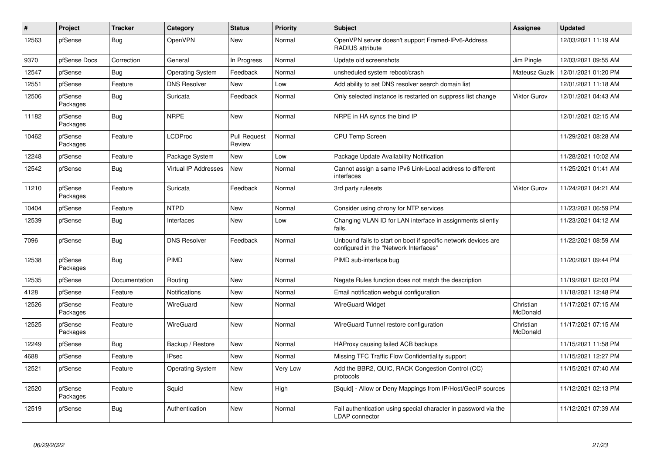| #     | Project             | <b>Tracker</b> | Category                    | <b>Status</b>                 | <b>Priority</b> | <b>Subject</b>                                                                                           | <b>Assignee</b>       | <b>Updated</b>      |
|-------|---------------------|----------------|-----------------------------|-------------------------------|-----------------|----------------------------------------------------------------------------------------------------------|-----------------------|---------------------|
| 12563 | pfSense             | <b>Bug</b>     | <b>OpenVPN</b>              | <b>New</b>                    | Normal          | OpenVPN server doesn't support Framed-IPv6-Address<br>RADIUS attribute                                   |                       | 12/03/2021 11:19 AM |
| 9370  | pfSense Docs        | Correction     | General                     | In Progress                   | Normal          | Update old screenshots                                                                                   | Jim Pingle            | 12/03/2021 09:55 AM |
| 12547 | pfSense             | <b>Bug</b>     | <b>Operating System</b>     | Feedback                      | Normal          | unsheduled system reboot/crash                                                                           | Mateusz Guzik         | 12/01/2021 01:20 PM |
| 12551 | pfSense             | Feature        | <b>DNS Resolver</b>         | <b>New</b>                    | Low             | Add ability to set DNS resolver search domain list                                                       |                       | 12/01/2021 11:18 AM |
| 12506 | pfSense<br>Packages | <b>Bug</b>     | Suricata                    | Feedback                      | Normal          | Only selected instance is restarted on suppress list change                                              | Viktor Gurov          | 12/01/2021 04:43 AM |
| 11182 | pfSense<br>Packages | <b>Bug</b>     | <b>NRPE</b>                 | New                           | Normal          | NRPE in HA syncs the bind IP                                                                             |                       | 12/01/2021 02:15 AM |
| 10462 | pfSense<br>Packages | Feature        | LCDProc                     | <b>Pull Request</b><br>Review | Normal          | <b>CPU Temp Screen</b>                                                                                   |                       | 11/29/2021 08:28 AM |
| 12248 | pfSense             | Feature        | Package System              | New                           | Low             | Package Update Availability Notification                                                                 |                       | 11/28/2021 10:02 AM |
| 12542 | pfSense             | Bug            | <b>Virtual IP Addresses</b> | New                           | Normal          | Cannot assign a same IPv6 Link-Local address to different<br>interfaces                                  |                       | 11/25/2021 01:41 AM |
| 11210 | pfSense<br>Packages | Feature        | Suricata                    | Feedback                      | Normal          | 3rd party rulesets                                                                                       | Viktor Gurov          | 11/24/2021 04:21 AM |
| 10404 | pfSense             | Feature        | <b>NTPD</b>                 | New                           | Normal          | Consider using chrony for NTP services                                                                   |                       | 11/23/2021 06:59 PM |
| 12539 | pfSense             | <b>Bug</b>     | Interfaces                  | New                           | Low             | Changing VLAN ID for LAN interface in assignments silently<br>fails.                                     |                       | 11/23/2021 04:12 AM |
| 7096  | pfSense             | Bug            | <b>DNS Resolver</b>         | Feedback                      | Normal          | Unbound fails to start on boot if specific network devices are<br>configured in the "Network Interfaces" |                       | 11/22/2021 08:59 AM |
| 12538 | pfSense<br>Packages | Bug            | PIMD                        | New                           | Normal          | PIMD sub-interface bug                                                                                   |                       | 11/20/2021 09:44 PM |
| 12535 | pfSense             | Documentation  | Routing                     | <b>New</b>                    | Normal          | Negate Rules function does not match the description                                                     |                       | 11/19/2021 02:03 PM |
| 4128  | pfSense             | Feature        | <b>Notifications</b>        | <b>New</b>                    | Normal          | Email notification webgui configuration                                                                  |                       | 11/18/2021 12:48 PM |
| 12526 | pfSense<br>Packages | Feature        | WireGuard                   | New                           | Normal          | <b>WireGuard Widget</b>                                                                                  | Christian<br>McDonald | 11/17/2021 07:15 AM |
| 12525 | pfSense<br>Packages | Feature        | WireGuard                   | New                           | Normal          | WireGuard Tunnel restore configuration                                                                   | Christian<br>McDonald | 11/17/2021 07:15 AM |
| 12249 | pfSense             | <b>Bug</b>     | Backup / Restore            | New                           | Normal          | HAProxy causing failed ACB backups                                                                       |                       | 11/15/2021 11:58 PM |
| 4688  | pfSense             | Feature        | <b>IPsec</b>                | <b>New</b>                    | Normal          | Missing TFC Traffic Flow Confidentiality support                                                         |                       | 11/15/2021 12:27 PM |
| 12521 | pfSense             | Feature        | <b>Operating System</b>     | New                           | Very Low        | Add the BBR2, QUIC, RACK Congestion Control (CC)<br>protocols                                            |                       | 11/15/2021 07:40 AM |
| 12520 | pfSense<br>Packages | Feature        | Squid                       | New                           | High            | [Squid] - Allow or Deny Mappings from IP/Host/GeoIP sources                                              |                       | 11/12/2021 02:13 PM |
| 12519 | pfSense             | Bug            | Authentication              | New                           | Normal          | Fail authentication using special character in password via the<br>LDAP connector                        |                       | 11/12/2021 07:39 AM |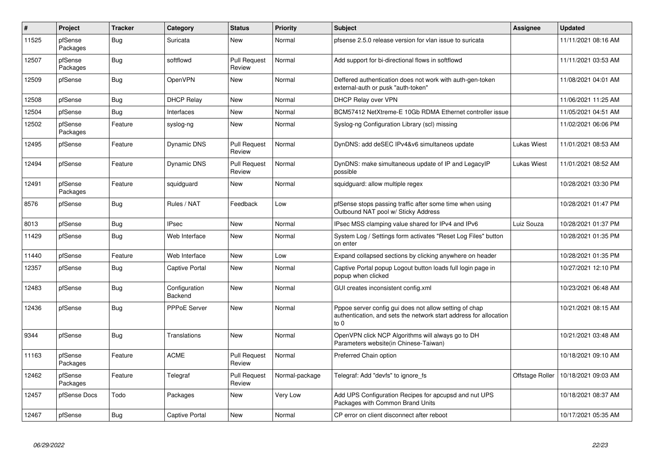| $\#$  | Project             | <b>Tracker</b> | Category                        | <b>Status</b>                 | <b>Priority</b> | <b>Subject</b>                                                                                                                      | Assignee        | <b>Updated</b>      |
|-------|---------------------|----------------|---------------------------------|-------------------------------|-----------------|-------------------------------------------------------------------------------------------------------------------------------------|-----------------|---------------------|
| 11525 | pfSense<br>Packages | Bug            | Suricata                        | <b>New</b>                    | Normal          | pfsense 2.5.0 release version for vlan issue to suricata                                                                            |                 | 11/11/2021 08:16 AM |
| 12507 | pfSense<br>Packages | Bug            | softflowd                       | <b>Pull Request</b><br>Review | Normal          | Add support for bi-directional flows in softflowd                                                                                   |                 | 11/11/2021 03:53 AM |
| 12509 | pfSense             | Bug            | <b>OpenVPN</b>                  | <b>New</b>                    | Normal          | Deffered authentication does not work with auth-gen-token<br>external-auth or pusk "auth-token"                                     |                 | 11/08/2021 04:01 AM |
| 12508 | pfSense             | <b>Bug</b>     | <b>DHCP Relay</b>               | <b>New</b>                    | Normal          | DHCP Relay over VPN                                                                                                                 |                 | 11/06/2021 11:25 AM |
| 12504 | pfSense             | <b>Bug</b>     | Interfaces                      | New                           | Normal          | BCM57412 NetXtreme-E 10Gb RDMA Ethernet controller issue                                                                            |                 | 11/05/2021 04:51 AM |
| 12502 | pfSense<br>Packages | Feature        | syslog-ng                       | New                           | Normal          | Syslog-ng Configuration Library (scl) missing                                                                                       |                 | 11/02/2021 06:06 PM |
| 12495 | pfSense             | Feature        | <b>Dynamic DNS</b>              | <b>Pull Request</b><br>Review | Normal          | DynDNS: add deSEC IPv4&v6 simultaneos update                                                                                        | Lukas Wiest     | 11/01/2021 08:53 AM |
| 12494 | pfSense             | Feature        | <b>Dynamic DNS</b>              | <b>Pull Request</b><br>Review | Normal          | DynDNS: make simultaneous update of IP and LegacyIP<br>possible                                                                     | Lukas Wiest     | 11/01/2021 08:52 AM |
| 12491 | pfSense<br>Packages | Feature        | squidguard                      | <b>New</b>                    | Normal          | squidguard: allow multiple regex                                                                                                    |                 | 10/28/2021 03:30 PM |
| 8576  | pfSense             | <b>Bug</b>     | Rules / NAT                     | Feedback                      | Low             | pfSense stops passing traffic after some time when using<br>Outbound NAT pool w/ Sticky Address                                     |                 | 10/28/2021 01:47 PM |
| 8013  | pfSense             | <b>Bug</b>     | <b>IPsec</b>                    | <b>New</b>                    | Normal          | IPsec MSS clamping value shared for IPv4 and IPv6                                                                                   | Luiz Souza      | 10/28/2021 01:37 PM |
| 11429 | pfSense             | Bug            | Web Interface                   | New                           | Normal          | System Log / Settings form activates "Reset Log Files" button<br>on enter                                                           |                 | 10/28/2021 01:35 PM |
| 11440 | pfSense             | Feature        | Web Interface                   | <b>New</b>                    | Low             | Expand collapsed sections by clicking anywhere on header                                                                            |                 | 10/28/2021 01:35 PM |
| 12357 | pfSense             | Bug            | <b>Captive Portal</b>           | <b>New</b>                    | Normal          | Captive Portal popup Logout button loads full login page in<br>popup when clicked                                                   |                 | 10/27/2021 12:10 PM |
| 12483 | pfSense             | <b>Bug</b>     | Configuration<br><b>Backend</b> | <b>New</b>                    | Normal          | GUI creates inconsistent config.xml                                                                                                 |                 | 10/23/2021 06:48 AM |
| 12436 | pfSense             | Bug            | <b>PPPoE Server</b>             | <b>New</b>                    | Normal          | Pppoe server config gui does not allow setting of chap<br>authentication, and sets the network start address for allocation<br>to 0 |                 | 10/21/2021 08:15 AM |
| 9344  | pfSense             | Bug            | Translations                    | <b>New</b>                    | Normal          | OpenVPN click NCP Algorithms will always go to DH<br>Parameters website(in Chinese-Taiwan)                                          |                 | 10/21/2021 03:48 AM |
| 11163 | pfSense<br>Packages | Feature        | <b>ACME</b>                     | <b>Pull Request</b><br>Review | Normal          | Preferred Chain option                                                                                                              |                 | 10/18/2021 09:10 AM |
| 12462 | pfSense<br>Packages | Feature        | Telegraf                        | <b>Pull Request</b><br>Review | Normal-package  | Telegraf: Add "devfs" to ignore fs                                                                                                  | Offstage Roller | 10/18/2021 09:03 AM |
| 12457 | pfSense Docs        | Todo           | Packages                        | New                           | Very Low        | Add UPS Configuration Recipes for apcupsd and nut UPS<br>Packages with Common Brand Units                                           |                 | 10/18/2021 08:37 AM |
| 12467 | pfSense             | <b>Bug</b>     | <b>Captive Portal</b>           | <b>New</b>                    | Normal          | CP error on client disconnect after reboot                                                                                          |                 | 10/17/2021 05:35 AM |